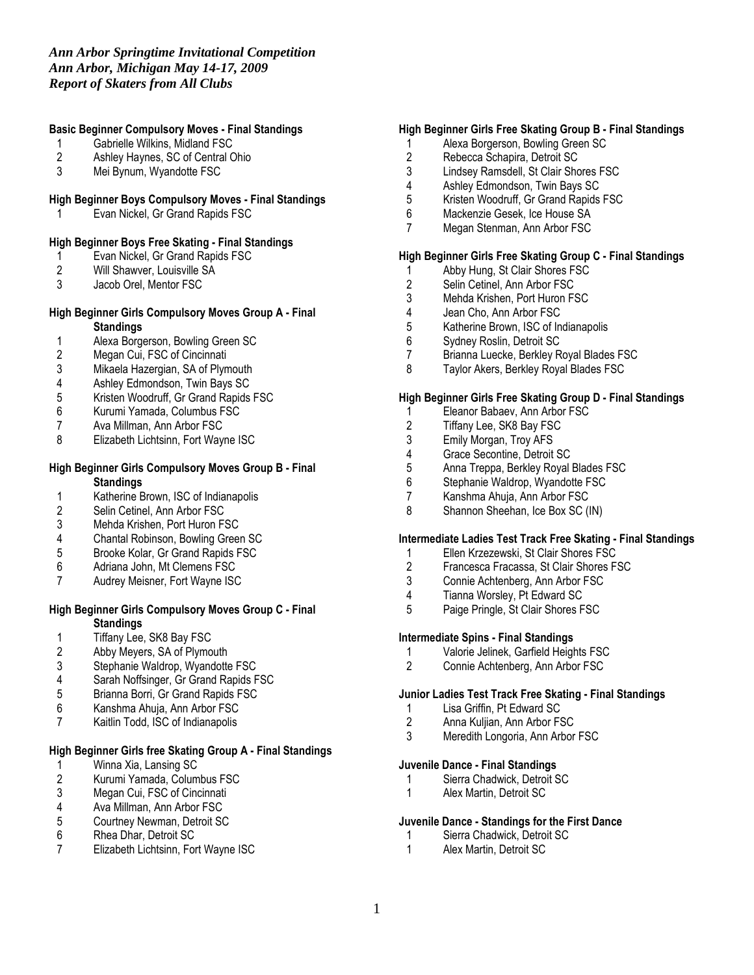# Basic Beginner Compulsory Moves - Final Standings

- 1 Gabrielle Wilkins, Midland FSC<br>2 Ashley Haynes, SC of Central C
- 2 Ashley Haynes, SC of Central Ohio<br>3 Mei Bynum. Wyandotte FSC
- Mei Bynum, Wyandotte FSC

# High Beginner Boys Compulsory Moves - Final Standings

1 Evan Nickel, Gr Grand Rapids FSC

# High Beginner Boys Free Skating - Final Standings

- 1 Evan Nickel, Gr Grand Rapids FSC<br>2 Will Shawver, Louisville SA
- 2 Will Shawver, Louisville SA<br>3 Jacob Orel. Mentor FSC
- Jacob Orel, Mentor FSC

# High Beginner Girls Compulsory Moves Group A - Final **Standings**

- 1 Alexa Borgerson, Bowling Green SC<br>2 Megan Cui, FSC of Cincinnati
- 2 Megan Cui, FSC of Cincinnati<br>3 Mikaela Hazergian, SA of Plym
- 3 Mikaela Hazergian, SA of Plymouth<br>4 Ashlev Edmondson. Twin Bavs SC
- 4 Ashley Edmondson, Twin Bays SC<br>5 Kristen Woodruff, Gr Grand Rapids
- 5 Kristen Woodruff, Gr Grand Rapids FSC<br>6 Kurumi Yamada, Columbus FSC
- 6 Kurumi Yamada, Columbus FSC<br>7 Ava Millman. Ann Arbor FSC
- 7 Ava Millman, Ann Arbor FSC<br>8 Elizabeth Lichtsinn, Fort Wavi
- Elizabeth Lichtsinn, Fort Wayne ISC

### High Beginner Girls Compulsory Moves Group B - Final **Standings**

- 1 Katherine Brown, ISC of Indianapolis<br>2 Selin Cetinel, Ann Arbor FSC
- 
- 2 Selin Cetinel, Ann Arbor FSC<br>3 Mehda Krishen, Port Huron FS 3 Mehda Krishen, Port Huron FSC<br>4 Chantal Robinson, Bowling Green
- 4 Chantal Robinson, Bowling Green SC<br>5 Brooke Kolar, Gr Grand Rapids FSC
- 5 Brooke Kolar, Gr Grand Rapids FSC
- 6 Adriana John, Mt Clemens FSC
- 7 Audrey Meisner, Fort Wayne ISC

#### High Beginner Girls Compulsory Moves Group C - Final **Standings**

- 
- 1 Tiffany Lee, SK8 Bay FSC<br>2 Abby Meyers, SA of Plymo 2 Abby Meyers, SA of Plymouth<br>3 Stephanie Waldrop, Wyandotte
- 3 Stephanie Waldrop, Wyandotte FSC<br>4 Sarah Noffsinger, Gr Grand Rapids F
- 4 Sarah Noffsinger, Gr Grand Rapids FSC<br>5 Brianna Borri, Gr Grand Rapids FSC
- 
- 5 Brianna Borri, Gr Grand Rapids FSC<br>6 Kanshma Ahuia. Ann Arbor FSC Kanshma Ahuja, Ann Arbor FSC
- 7 Kaitlin Todd, ISC of Indianapolis

### High Beginner Girls free Skating Group A - Final Standings

- 1 Winna Xia, Lansing SC<br>2 Kurumi Yamada, Colum
- 2 Kurumi Yamada, Columbus FSC<br>3 Megan Cui, FSC of Cincinnati
- 3 Megan Cui, FSC of Cincinnati<br>4 Ava Millman. Ann Arbor FSC
- 4 Ava Millman, Ann Arbor FSC<br>5 Courtney Newman, Detroit SC
- 5 Courtney Newman, Detroit SC<br>6 Rhea Dhar. Detroit SC
- 6 Rhea Dhar, Detroit SC
- 7 Elizabeth Lichtsinn, Fort Wayne ISC

# High Beginner Girls Free Skating Group B - Final Standings

- 1 Alexa Borgerson, Bowling Green SC
- 2 Rebecca Schapira, Detroit SC<br>3 Lindsev Ramsdell. St Clair Sho
- Lindsey Ramsdell, St Clair Shores FSC
- 4 Ashley Edmondson, Twin Bays SC<br>5 Kristen Woodruff, Gr Grand Rapids
- 5 Kristen Woodruff, Gr Grand Rapids FSC<br>6 Mackenzie Gesek. Ice House SA
- 6 Mackenzie Gesek, Ice House SA
- 7 Megan Stenman, Ann Arbor FSC

# High Beginner Girls Free Skating Group C - Final Standings

- 1 Abby Hung, St Clair Shores FSC<br>2 Selin Cetinel, Ann Arbor FSC
- 2 Selin Cetinel, Ann Arbor FSC<br>3 Mehda Krishen. Port Huron FS
- 3 Mehda Krishen, Port Huron FSC<br>4 Jean Cho. Ann Arbor FSC
- 4 Jean Cho, Ann Arbor FSC<br>5 Katherine Brown, ISC of In
- 5 Katherine Brown, ISC of Indianapolis
- 6 Sydney Roslin, Detroit SC
- 7 Brianna Luecke, Berkley Royal Blades FSC
- 8 Taylor Akers, Berkley Royal Blades FSC

### High Beginner Girls Free Skating Group D - Final Standings

- 1 Eleanor Babaev, Ann Arbor FSC<br>2 Tiffany Lee, SK8 Bay FSC
- 2 Tiffany Lee, SK8 Bay FSC<br>3 Emily Morgan, Trov AFS
- 3 Emily Morgan, Troy AFS<br>4 Grace Secontine. Detroit
- 4 Grace Secontine, Detroit SC<br>5 Anna Treppa, Berkley Royal
- 5 Anna Treppa, Berkley Royal Blades FSC<br>6 Stephanie Waldrop, Wyandotte FSC
- 6 Stephanie Waldrop, Wyandotte FSC<br>7 Kanshma Ahuia. Ann Arbor FSC
- Kanshma Ahuja, Ann Arbor FSC
- 8 Shannon Sheehan, Ice Box SC (IN)

### Intermediate Ladies Test Track Free Skating - Final Standings

- 1 Ellen Krzezewski, St Clair Shores FSC
- 2 Francesca Fracassa, St Clair Shores FSC
- 3 Connie Achtenberg, Ann Arbor FSC<br>4 Tianna Worsley Pt Fdward SC
- 4 Tianna Worsley, Pt Edward SC<br>5 Paige Pringle, St Clair Shores F
- 5 Paige Pringle, St Clair Shores FSC

#### Intermediate Spins - Final Standings

- 1 Valorie Jelinek, Garfield Heights FSC<br>2 Connie Achtenberg, Ann Arbor FSC
- 2 Connie Achtenberg, Ann Arbor FSC

#### Junior Ladies Test Track Free Skating - Final Standings

- 1 Lisa Griffin, Pt Edward SC
- 2 Anna Kuljian, Ann Arbor FSC<br>3 Meredith Longoria Ann Arbor
- Meredith Longoria, Ann Arbor FSC

# Juvenile Dance - Final Standings

- 1 Sierra Chadwick, Detroit SC<br>1 Alex Martin, Detroit SC
- Alex Martin, Detroit SC

### Juvenile Dance - Standings for the First Dance

- 1 Sierra Chadwick, Detroit SC
- 1 Alex Martin, Detroit SC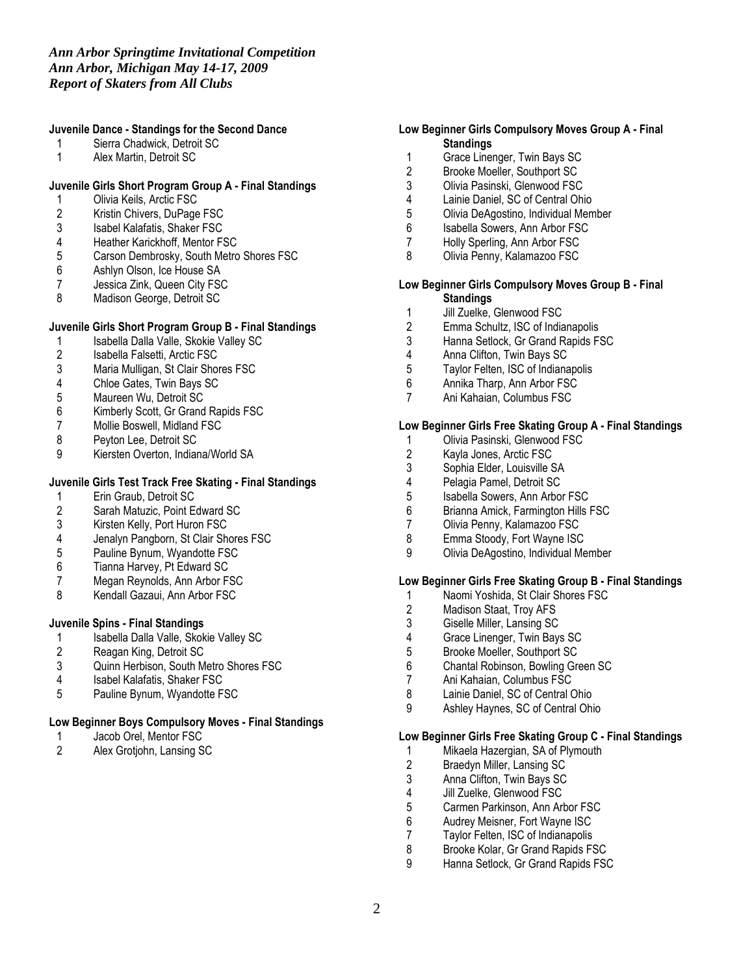# Juvenile Dance - Standings for the Second Dance

- 1 Sierra Chadwick, Detroit SC
- 1 Alex Martin, Detroit SC

# Juvenile Girls Short Program Group A - Final Standings

- 1 Olivia Keils, Arctic FSC<br>2 Kristin Chivers, DuPage
- 2 Kristin Chivers, DuPage FSC<br>3 Isabel Kalafatis, Shaker FSC
- 3 Isabel Kalafatis, Shaker FSC<br>4 Heather Karickhoff. Mentor FS
- 4 Heather Karickhoff, Mentor FSC<br>5 Carson Dembrosky, South Metro
- 5 Carson Dembrosky, South Metro Shores FSC<br>6 Ashlyn Olson, Ice House SA
- 6 Ashlyn Olson, Ice House SA<br>7 Jessica Zink, Queen City FS0
- 7 Jessica Zink, Queen City FSC<br>8 Madison George. Detroit SC
- Madison George, Detroit SC

### Juvenile Girls Short Program Group B - Final Standings

- 1 Isabella Dalla Valle, Skokie Valley SC<br>2 Isabella Falsetti, Arctic FSC
- 2 Isabella Falsetti, Arctic FSC<br>3 Maria Mulligan, St Clair Shor
- 3 Maria Mulligan, St Clair Shores FSC<br>4 Chloe Gates. Twin Bavs SC
- 4 Chloe Gates, Twin Bays SC<br>5 Maureen Wu. Detroit SC
- 5 Maureen Wu, Detroit SC<br>6 Kimberly Scott, Gr Grand
- 6 Kimberly Scott, Gr Grand Rapids FSC
- 7 Mollie Boswell, Midland FSC<br>8 Pevton Lee. Detroit SC
- 8 Peyton Lee, Detroit SC<br>9 Kiersten Overton Indian
- Kiersten Overton, Indiana/World SA

# Juvenile Girls Test Track Free Skating - Final Standings

- 1 Erin Graub, Detroit SC<br>2 Sarah Matuzic, Point Eq
- 2 Sarah Matuzic, Point Edward SC<br>3 Kirsten Kelly, Port Huron FSC
- 3 Kirsten Kelly, Port Huron FSC<br>4 Jenalyn Pangborn, St Clair Sh
- 4 Jenalyn Pangborn, St Clair Shores FSC
- 5 Pauline Bynum, Wyandotte FSC<br>6 Tianna Harvey, Pt Edward SC
- 6 Tianna Harvey, Pt Edward SC<br>7 Megan Revnolds, Ann Arbor F.
- 7 Megan Reynolds, Ann Arbor FSC<br>8 Mendall Gazaui, Ann Arbor FSC
- Kendall Gazaui, Ann Arbor FSC

### Juvenile Spins - Final Standings

- 1 Isabella Dalla Valle, Skokie Valley SC<br>2 Reagan King, Detroit SC
- 
- 2 Reagan King, Detroit SC<br>3 Quinn Herbison. South M Quinn Herbison, South Metro Shores FSC
- 4 Isabel Kalafatis, Shaker FSC<br>5 Pauline Bynum. Wyandotte FS
- Pauline Bynum, Wyandotte FSC

#### Low Beginner Boys Compulsory Moves - Final Standings

- 1 Jacob Orel, Mentor FSC<br>2 Alex Grotiohn, Lansing S
- 2 Alex Grotjohn, Lansing SC

# Low Beginner Girls Compulsory Moves Group A - Final **Standings**

- 1 Grace Linenger, Twin Bays SC<br>2 Brooke Moeller, Southport SC
- Brooke Moeller, Southport SC
- 3 Olivia Pasinski, Glenwood FSC
- 4 Lainie Daniel, SC of Central Ohio<br>5 Olivia DeAgostino, Individual Mem
- 5 Olivia DeAgostino, Individual Member
- 6 Isabella Sowers, Ann Arbor FSC
- 7 Holly Sperling, Ann Arbor FSC
- 8 Olivia Penny, Kalamazoo FSC

#### Low Beginner Girls Compulsory Moves Group B - Final **Standings**

- 1 Jill Zuelke, Glenwood FSC<br>2 Emma Schultz, ISC of India
- 2 Emma Schultz, ISC of Indianapolis<br>3 Hanna Setlock. Gr Grand Rapids F.
- Hanna Setlock, Gr Grand Rapids FSC
- 4 Anna Clifton, Twin Bays SC<br>5 Taylor Felten, ISC of Indiana
- 5 Taylor Felten, ISC of Indianapolis
- 6 Annika Tharp, Ann Arbor FSC
- 7 Ani Kahaian, Columbus FSC

### Low Beginner Girls Free Skating Group A - Final Standings

- 1 Olivia Pasinski, Glenwood FSC<br>2 Kayla Jones, Arctic FSC
	- 2 Kayla Jones, Arctic FSC<br>3 Sophia Elder, Louisville S
- 3 Sophia Elder, Louisville SA<br>4 Pelagia Pamel. Detroit SC
- 4 Pelagia Pamel, Detroit SC<br>5 Isabella Sowers. Ann Arboi
- 
- 5 Isabella Sowers, Ann Arbor FSC<br>6 Brianna Amick, Farmington Hills 6 Brianna Amick, Farmington Hills FSC
- 7 Olivia Penny, Kalamazoo FSC<br>8 Emma Stoody, Fort Wayne ISC
- Emma Stoody, Fort Wayne ISC
- 9 Olivia DeAgostino, Individual Member

### Low Beginner Girls Free Skating Group B - Final Standings

- 1 Naomi Yoshida, St Clair Shores FSC<br>2 Madison Staat, Troy AFS
- 2 Madison Staat, Troy AFS<br>3 Giselle Miller. Lansing SC
- 3 Giselle Miller, Lansing SC<br>4 Grace Linenger. Twin Bav
- 4 Grace Linenger, Twin Bays SC<br>5 Brooke Moeller, Southport SC
- 5 Brooke Moeller, Southport SC<br>6 Chantal Robinson. Bowling Gre
- 6 Chantal Robinson, Bowling Green SC
- 7 Ani Kahaian, Columbus FSC<br>8 Lainie Daniel SC of Central C
- Lainie Daniel, SC of Central Ohio
- 9 Ashley Haynes, SC of Central Ohio

#### Low Beginner Girls Free Skating Group C - Final Standings

- 1 Mikaela Hazergian, SA of Plymouth<br>2 Braedyn Miller. Lansing SC
- 2 Braedyn Miller, Lansing SC<br>3 Anna Clifton. Twin Bays SC
- 3 Anna Clifton, Twin Bays SC<br>4 Jill Zuelke, Glenwood FSC
- 
- 4 Jill Zuelke, Glenwood FSC<br>5 Carmen Parkinson, Ann Arl 5 Carmen Parkinson, Ann Arbor FSC<br>6 Audrey Meisner. Fort Wayne ISC
- 6 Audrey Meisner, Fort Wayne ISC<br>7 Tavlor Felten, ISC of Indianapolis
- 7 Taylor Felten, ISC of Indianapolis<br>8 Brooke Kolar. Gr Grand Rapids F.
- 8 Brooke Kolar, Gr Grand Rapids FSC<br>9 Hanna Setlock, Gr Grand Rapids FSC
- Hanna Setlock, Gr Grand Rapids FSC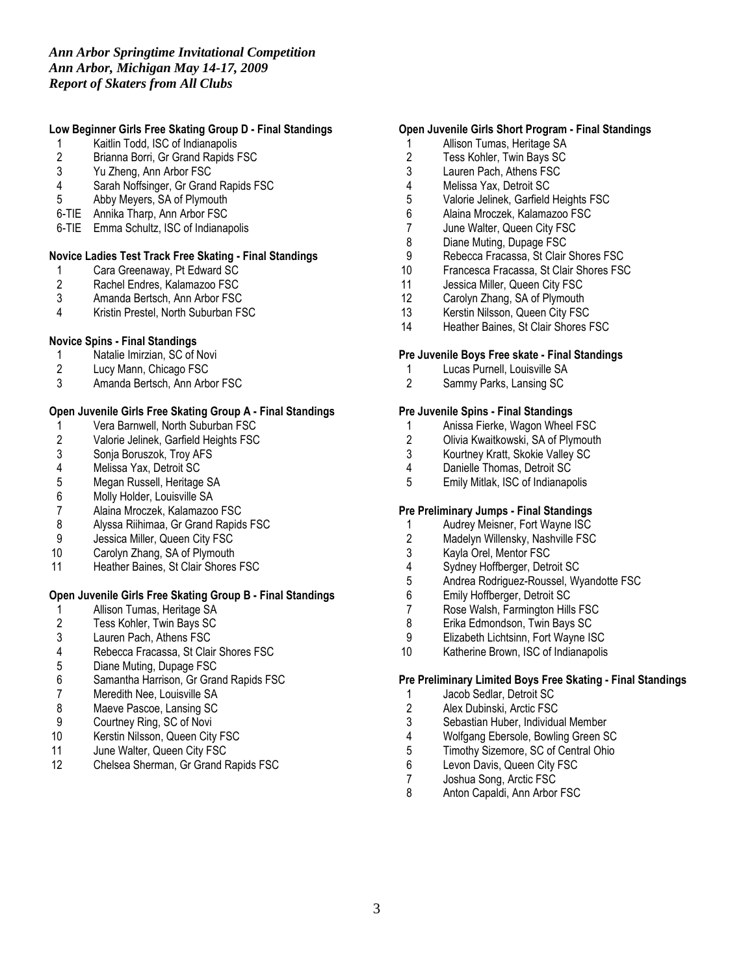# *Ann Arbor Springtime Invitational Competition Ann Arbor, Michigan May 14-17, 2009 Report of Skaters from All Clubs*

# Low Beginner Girls Free Skating Group D - Final Standings

- 1 Kaitlin Todd, ISC of Indianapolis<br>2 Brianna Borri, Gr Grand Rapids F
- 2 Brianna Borri, Gr Grand Rapids FSC<br>3 Yu Zheng. Ann Arbor FSC
- 3 Yu Zheng, Ann Arbor FSC<br>4 Sarah Noffsinger, Gr Grand
- Sarah Noffsinger, Gr Grand Rapids FSC
- 5 Abby Meyers, SA of Plymouth
- 6-TIE Annika Tharp, Ann Arbor FSC
- 6-TIE Emma Schultz, ISC of Indianapolis

# Novice Ladies Test Track Free Skating - Final Standings<br>1 Cara Greenaway. Pt Edward SC

- 1 Cara Greenaway, Pt Edward SC<br>2 Rachel Endres, Kalamazoo FSC
- 2 Rachel Endres, Kalamazoo FSC<br>3 Amanda Bertsch, Ann Arbor FSC
- 3 Amanda Bertsch, Ann Arbor FSC<br>4 Kristin Prestel. North Suburban FS
- Kristin Prestel, North Suburban FSC

### Novice Spins - Final Standings

- 1 Natalie Imirzian, SC of Novi<br>2 Lucy Mann, Chicago FSC
- 2 Lucy Mann, Chicago FSC<br>3 Amanda Bertsch. Ann Arbo
- 3 Amanda Bertsch, Ann Arbor FSC

### Open Juvenile Girls Free Skating Group A - Final Standings

- 1 Vera Barnwell, North Suburban FSC<br>2 Valorie Jelinek, Garfield Heights FSC
- 2 Valorie Jelinek, Garfield Heights FSC<br>3 Sonia Boruszok, Troy AFS
- 3 Sonja Boruszok, Troy AFS
- 4 Melissa Yax, Detroit SC<br>5 Megan Russell, Heritage
- 5 Megan Russell, Heritage SA<br>6 Molly Holder, Louisville SA
- 6 Molly Holder, Louisville SA<br>7 Alaina Mroczek, Kalamazoo
- 7 Alaina Mroczek, Kalamazoo FSC<br>8 Alyssa Riihimaa, Gr Grand Rapids
- 8 Alyssa Riihimaa, Gr Grand Rapids FSC<br>9 Jessica Miller. Queen City FSC
- Jessica Miller, Queen City FSC
- 10 Carolyn Zhang, SA of Plymouth
- 11 Heather Baines, St Clair Shores FSC

# Open Juvenile Girls Free Skating Group B - Final Standings

- 1 Allison Tumas, Heritage SA<br>2 Tess Kohler, Twin Bays SC
- 2 Tess Kohler, Twin Bays SC<br>3 Lauren Pach, Athens FSC
- 3 Lauren Pach, Athens FSC
- 4 Rebecca Fracassa, St Clair Shores FSC<br>5 Diane Muting, Dupage FSC
- 5 Diane Muting, Dupage FSC<br>6 Samantha Harrison, Gr Grar
- 6 Samantha Harrison, Gr Grand Rapids FSC
- 7 Meredith Nee, Louisville SA<br>8 Maeve Pascoe, Lansing SC
- 8 Maeve Pascoe, Lansing SC<br>9 Courtney Ring, SC of Novi
- 9 Courtney Ring, SC of Novi<br>10 Kerstin Nilsson, Queen City
- 10 Kerstin Nilsson, Queen City FSC<br>11 June Walter, Queen City FSC
- 11 June Walter, Queen City FSC<br>12 Chelsea Sherman. Gr Grand F
- 12 Chelsea Sherman, Gr Grand Rapids FSC

# Open Juvenile Girls Short Program - Final Standings

- 1 Allison Tumas, Heritage SA
- 2 Tess Kohler, Twin Bays SC<br>3 Lauren Pach, Athens FSC
- Lauren Pach, Athens FSC
- 4 Melissa Yax, Detroit SC
- 5 Valorie Jelinek, Garfield Heights FSC<br>6 Alaina Mroczek, Kalamazoo FSC
- 6 Alaina Mroczek, Kalamazoo FSC
- 7 June Walter, Queen City FSC
- 8 Diane Muting, Dupage FSC
- 9 Rebecca Fracassa, St Clair Shores FSC<br>10 Francesca Fracassa, St Clair Shores FS
- 10 Francesca Fracassa, St Clair Shores FSC<br>11 Jessica Miller. Queen City FSC
- 11 Jessica Miller, Queen City FSC<br>12 Carolyn Zhang, SA of Plymouth
- Carolyn Zhang, SA of Plymouth
- 13 Kerstin Nilsson, Queen City FSC<br>14 Heather Baines, St Clair Shores F
- Heather Baines, St Clair Shores FSC

### Pre Juvenile Boys Free skate - Final Standings

- 1 Lucas Purnell, Louisville SA<br>2 Sammy Parks. Lansing SC
- Sammy Parks, Lansing SC

### Pre Juvenile Spins - Final Standings

- 1 Anissa Fierke, Wagon Wheel FSC<br>2 Olivia Kwaitkowski. SA of Plymouth
- 2 Olivia Kwaitkowski, SA of Plymouth<br>3 Kourtnev Kratt. Skokie Vallev SC
- 3 Kourtney Kratt, Skokie Valley SC
- 4 Danielle Thomas, Detroit SC<br>5 Emily Mitlak. ISC of Indianapo
- 5 Emily Mitlak, ISC of Indianapolis

#### Pre Preliminary Jumps - Final Standings

- 1 Audrey Meisner, Fort Wayne ISC<br>2 Madelyn Willensky, Nashville FSC
- 2 Madelyn Willensky, Nashville FSC<br>3 Kayla Orel, Mentor FSC
- 3 Kayla Orel, Mentor FSC
- 4 Sydney Hoffberger, Detroit SC<br>5 Andrea Rodriguez-Roussel. Wy
- 5 Andrea Rodriguez-Roussel, Wyandotte FSC
- 
- 6 Emily Hoffberger, Detroit SC<br>7 Rose Walsh, Farmington Hills 7 Rose Walsh, Farmington Hills FSC<br>8 Erika Edmondson. Twin Bavs SC
- 8 Erika Edmondson, Twin Bays SC<br>9 Elizabeth Lichtsinn, Fort Wavne IS
- Elizabeth Lichtsinn, Fort Wayne ISC
- 10 Katherine Brown, ISC of Indianapolis

#### Pre Preliminary Limited Boys Free Skating - Final Standings

- 1 Jacob Sedlar, Detroit SC<br>2 Alex Dubinski, Arctic FSC
- 2 Alex Dubinski, Arctic FSC<br>3 Sebastian Huber, Individua
- 3 Sebastian Huber, Individual Member<br>4 Wolfgang Ebersole, Bowling Green S
- 4 Wolfgang Ebersole, Bowling Green SC<br>5 Timothy Sizemore, SC of Central Ohio
- 5 Timothy Sizemore, SC of Central Ohio<br>6 Levon Davis, Queen City FSC
- 6 Levon Davis, Queen City FSC<br>7 Joshua Song, Arctic FSC
- 7 Joshua Song, Arctic FSC<br>8 Anton Capaldi, Ann Arbor
- Anton Capaldi, Ann Arbor FSC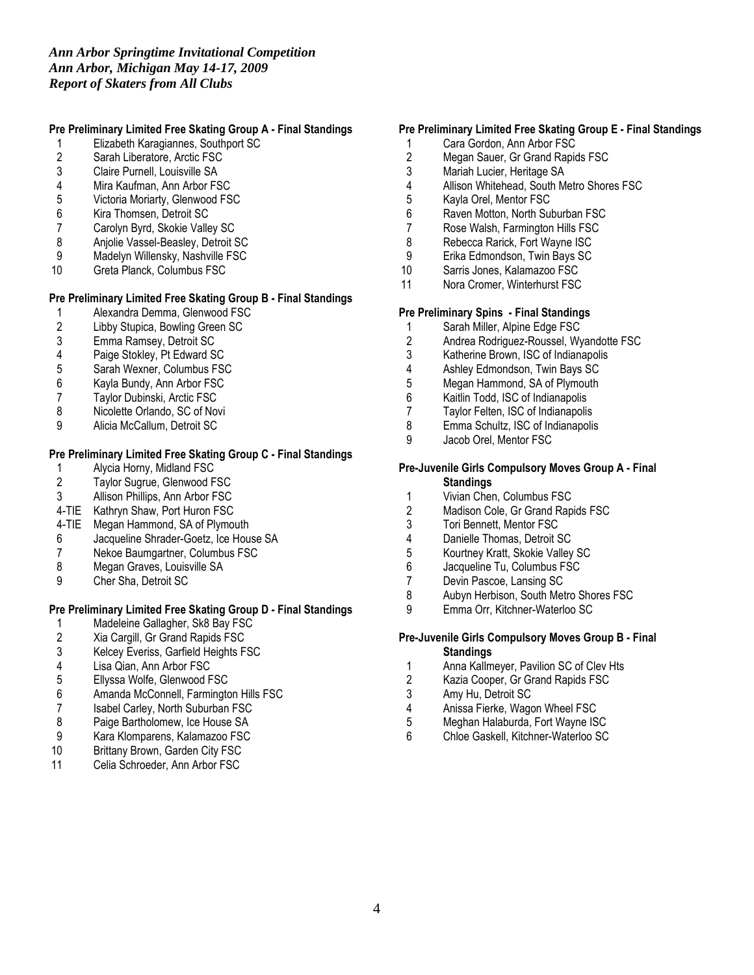# Pre Preliminary Limited Free Skating Group A - Final Standings

- 1 Elizabeth Karagiannes, Southport SC<br>2 Sarah Liberatore, Arctic FSC
- 2 Sarah Liberatore, Arctic FSC<br>3 Claire Purnell. Louisville SA
- 3 Claire Purnell, Louisville SA<br>4 Mira Kaufman, Ann Arbor FS
- 4 Mira Kaufman, Ann Arbor FSC<br>5 Victoria Moriarty, Glenwood FS
- 5 Victoria Moriarty, Glenwood FSC<br>6 Kira Thomsen, Detroit SC
- 6 Kira Thomsen, Detroit SC<br>7 Carolyn Byrd, Skokie Valle
- 7 Carolyn Byrd, Skokie Valley SC
- 8 Anjolie Vassel-Beasley, Detroit SC<br>9 Madelyn Willensky, Nashville FSC
- 9 Madelyn Willensky, Nashville FSC<br>10 Greta Planck. Columbus FSC
- Greta Planck, Columbus FSC

# Pre Preliminary Limited Free Skating Group B - Final Standings

- 1 Alexandra Demma, Glenwood FSC<br>2 Libby Stupica, Bowling Green SC
- 2 Libby Stupica, Bowling Green SC<br>3 Emma Ramsey, Detroit SC
- 3 Emma Ramsey, Detroit SC<br>4 Paige Stokley, Pt Edward S
- 4 Paige Stokley, Pt Edward SC
- 5 Sarah Wexner, Columbus FSC<br>6 Kayla Bundy, Ann Arbor FSC
- 6 Kayla Bundy, Ann Arbor FSC
- 7 Taylor Dubinski, Arctic FSC<br>8 Nicolette Orlando. SC of Nov
- 8 Nicolette Orlando, SC of Novi<br>9 Alicia McCallum. Detroit SC
- 9 Alicia McCallum, Detroit SC

# Pre Preliminary Limited Free Skating Group C - Final Standings

- 1 Alycia Horny, Midland FSC<br>2 Taylor Sugrue, Glenwood F
- 2 Taylor Sugrue, Glenwood FSC<br>3 Allison Phillips. Ann Arbor FSC
- Allison Phillips, Ann Arbor FSC
- 4-TIE Kathryn Shaw, Port Huron FSC
- 4-TIE Megan Hammond, SA of Plymouth
- 6 Jacqueline Shrader-Goetz, Ice House SA
- 7 Nekoe Baumgartner, Columbus FSC<br>8 Megan Graves, Louisville SA
- 8 Megan Graves, Louisville SA<br>9 Cher Sha, Detroit SC
- 9 Cher Sha, Detroit SC

# Pre Preliminary Limited Free Skating Group D - Final Standings

- 1 Madeleine Gallagher, Sk8 Bay FSC<br>2 Xia Cargill, Gr Grand Rapids FSC
- 2 Xia Cargill, Gr Grand Rapids FSC<br>3 Kelcey Everiss, Garfield Heights F
- 3 Kelcey Everiss, Garfield Heights FSC<br>4 Lisa Qian, Ann Arbor FSC
- 4 Lisa Qian, Ann Arbor FSC<br>5 Ellyssa Wolfe, Glenwood F
- 5 Ellyssa Wolfe, Glenwood FSC<br>6 Amanda McConnell, Farmingto
- 6 Amanda McConnell, Farmington Hills FSC<br>7 Isabel Carley. North Suburban FSC
- Isabel Carley, North Suburban FSC
- 8 Paige Bartholomew, Ice House SA<br>9 Kara Klomparens, Kalamazoo FSC
- 9 Kara Klomparens, Kalamazoo FSC<br>10 Brittany Brown, Garden City FSC
- Brittany Brown, Garden City FSC
- 11 Celia Schroeder, Ann Arbor FSC

# Pre Preliminary Limited Free Skating Group E - Final Standings

- 1 Cara Gordon, Ann Arbor FSC
- 2 Megan Sauer, Gr Grand Rapids FSC<br>3 Mariah Lucier, Heritage SA
- Mariah Lucier, Heritage SA
- 4 Allison Whitehead, South Metro Shores FSC<br>5 Kayla Orel, Mentor FSC
- 5 Kayla Orel, Mentor FSC<br>6 Raven Motton, North Sul
- Raven Motton, North Suburban FSC
- 7 Rose Walsh, Farmington Hills FSC
- 8 Rebecca Rarick, Fort Wayne ISC<br>9 Erika Edmondson. Twin Bays SC
- 9 Erika Edmondson, Twin Bays SC<br>10 Sarris Jones, Kalamazoo FSC
- Sarris Jones, Kalamazoo FSC
- 11 Nora Cromer, Winterhurst FSC

#### Pre Preliminary Spins - Final Standings

- 1 Sarah Miller, Alpine Edge FSC<br>2 Andrea Rodriguez-Roussel. Wy
- 2 Andrea Rodriguez-Roussel, Wyandotte FSC<br>3 Katherine Brown, ISC of Indianapolis
- 3 Katherine Brown, ISC of Indianapolis<br>4 Ashley Edmondson, Twin Bays SC
- 4 Ashley Edmondson, Twin Bays SC<br>5 Meaan Hammond. SA of Plymouth
- Megan Hammond, SA of Plymouth
- 6 Kaitlin Todd, ISC of Indianapolis
- 7 Taylor Felten, ISC of Indianapolis<br>8 Emma Schultz. ISC of Indianapolis
- 8 Emma Schultz, ISC of Indianapolis<br>9 Jacob Orel, Mentor FSC
- Jacob Orel, Mentor FSC

#### Pre-Juvenile Girls Compulsory Moves Group A - Final **Standings**

- 
- 1 Vivian Chen, Columbus FSC<br>2 Madison Cole, Gr Grand Rap Madison Cole, Gr Grand Rapids FSC
- 3 Tori Bennett, Mentor FSC<br>4 Danielle Thomas. Detroit 9
- 4 Danielle Thomas, Detroit SC<br>5 Kourtney Kratt, Skokie Valley
- 5 Kourtney Kratt, Skokie Valley SC
- 6 Jacqueline Tu, Columbus FSC<br>7 Devin Pascoe, Lansing SC
- 7 Devin Pascoe, Lansing SC<br>8 Aubyn Herbison, South Met
- 8 Aubyn Herbison, South Metro Shores FSC<br>9 Emma Orr. Kitchner-Waterloo SC
- Emma Orr, Kitchner-Waterloo SC

### Pre-Juvenile Girls Compulsory Moves Group B - Final **Standings**

- Anna Kallmeyer, Pavilion SC of Cley Hts
- 2 Kazia Cooper, Gr Grand Rapids FSC<br>3 Amy Hu. Detroit SC
- 3 Amy Hu, Detroit SC<br>4 Anissa Fierke, Wago
- Anissa Fierke, Wagon Wheel FSC
- 5 Meghan Halaburda, Fort Wayne ISC<br>6 Chloe Gaskell Kitchner-Waterloo SC
- Chloe Gaskell, Kitchner-Waterloo SC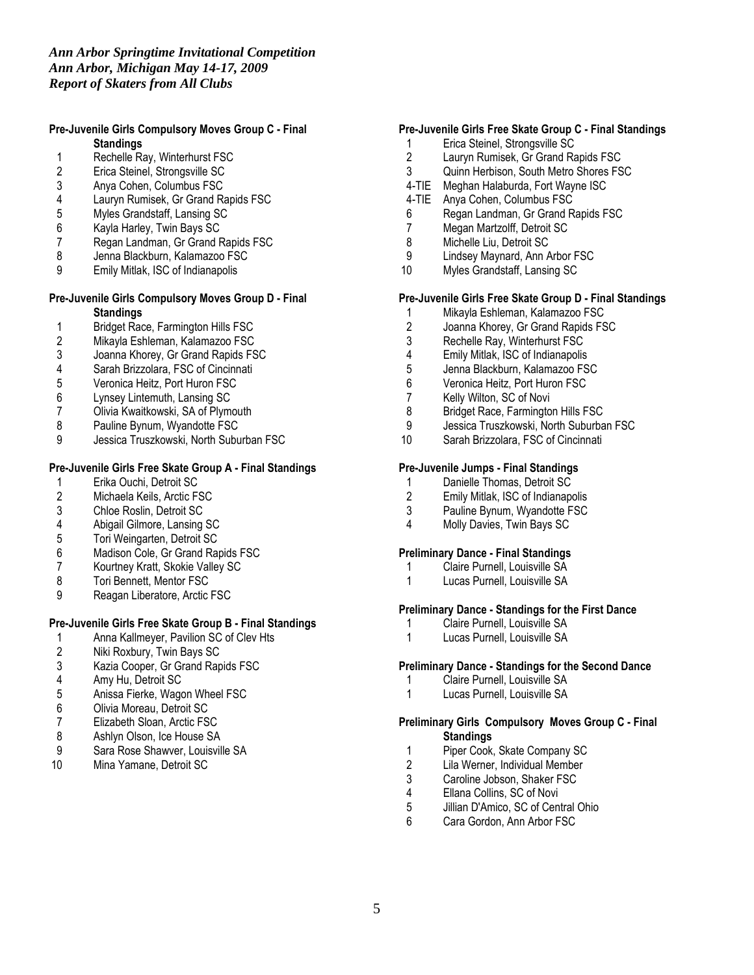### Pre-Juvenile Girls Compulsory Moves Group C - Final **Standings**

- 1 Rechelle Ray, Winterhurst FSC<br>2 Erica Steinel, Strongsville SC
- 2 Erica Steinel, Strongsville SC<br>3 Anva Cohen. Columbus FSC
- 3 Anya Cohen, Columbus FSC
- 4 Lauryn Rumisek, Gr Grand Rapids FSC<br>5 Myles Grandstaff, Lansing SC
- 5 Myles Grandstaff, Lansing SC<br>6 Kayla Harley, Twin Bays SC
- 
- 6 Kayla Harley, Twin Bays SC 7 Regan Landman, Gr Grand Rapids FSC<br>8 Jenna Blackburn, Kalamazoo FSC
- 8 Jenna Blackburn, Kalamazoo FSC<br>9 Emily Mitlak, ISC of Indianapolis
- 9 Emily Mitlak, ISC of Indianapolis

### Pre-Juvenile Girls Compulsory Moves Group D - Final **Standings**

- 1 Bridget Race, Farmington Hills FSC<br>2 Mikayla Eshleman, Kalamazoo FSC
- 2 Mikayla Eshleman, Kalamazoo FSC
- 3 Joanna Khorey, Gr Grand Rapids FSC<br>4 Sarah Brizzolara, FSC of Cincinnati
- 4 Sarah Brizzolara, FSC of Cincinnati<br>5 Veronica Heitz, Port Huron FSC
- 5 Veronica Heitz, Port Huron FSC
- 
- 6 Lynsey Lintemuth, Lansing SC 7 Olivia Kwaitkowski, SA of Plymouth<br>8 Pauline Bynum. Wyandotte FSC
- 8 Pauline Bynum, Wyandotte FSC<br>9 Jessica Truszkowski, North Subu
- Jessica Truszkowski, North Suburban FSC

# Pre-Juvenile Girls Free Skate Group A - Final Standings

- 1 Erika Ouchi, Detroit SC<br>2 Michaela Keils, Arctic FS
- 2 Michaela Keils, Arctic FSC<br>3 Chloe Roslin, Detroit SC
- 
- 3 Chloe Roslin, Detroit SC<br>4 Abigail Gilmore, Lansing
- 4 Abigail Gilmore, Lansing SC<br>5 Tori Weingarten, Detroit SC
- 5 Tori Weingarten, Detroit SC<br>6 Madison Cole, Gr Grand Ra
- 6 Madison Cole, Gr Grand Rapids FSC<br>7 Kourtney Kratt, Skokie Valley SC 7 Kourtney Kratt, Skokie Valley SC<br>8 Tori Bennett, Mentor FSC
- 
- 8 Tori Bennett, Mentor FSC<br>9 Reagan Liberatore, Arctic Reagan Liberatore, Arctic FSC

# Pre-Juvenile Girls Free Skate Group B - Final Standings

- 1 Anna Kallmeyer, Pavilion SC of Clev Hts<br>2 Niki Roxbury, Twin Bays SC
- 
- 2 Niki Roxbury, Twin Bays SC<br>3 Kazia Cooper, Gr Grand Rap 3 Kazia Cooper, Gr Grand Rapids FSC<br>4 Amy Hu. Detroit SC
- 4 Amy Hu, Detroit SC<br>5 Anissa Fierke, Wago
- 5 Anissa Fierke, Wagon Wheel FSC<br>6 Olivia Moreau, Detroit SC
- 6 Olivia Moreau, Detroit SC<br>7 Elizabeth Sloan, Arctic FS
- 7 Elizabeth Sloan, Arctic FSC<br>8 Ashlyn Olson, Ice House SA
- 8 Ashlyn Olson, Ice House SA<br>9 Sara Rose Shawver, Louisvill
- 9 Sara Rose Shawver, Louisville SA<br>10 Mina Yamane, Detroit SC
- Mina Yamane, Detroit SC

# Pre-Juvenile Girls Free Skate Group C - Final Standings

- 1 Erica Steinel, Strongsville SC<br>2 Lauryn Rumisek. Gr Grand Ra
- 2 Lauryn Rumisek, Gr Grand Rapids FSC<br>3 Ouinn Herbison. South Metro Shores FS
- 3 Quinn Herbison, South Metro Shores FSC<br>4-TIE Meghan Halaburda, Fort Wayne ISC
- Meghan Halaburda, Fort Wayne ISC
- 4-TIE Anya Cohen, Columbus FSC
- 6 Regan Landman, Gr Grand Rapids FSC
- 7 Megan Martzolff, Detroit SC
- 8 Michelle Liu, Detroit SC<br>9 Lindsey Maynard, Ann A
- 9 Lindsey Maynard, Ann Arbor FSC<br>10 Myles Grandstaff. Lansing SC
- Myles Grandstaff, Lansing SC

# Pre-Juvenile Girls Free Skate Group D - Final Standings

- 1 Mikayla Eshleman, Kalamazoo FSC<br>2 Joanna Khorey, Gr Grand Rapids FS
- 2 Joanna Khorey, Gr Grand Rapids FSC<br>3 Rechelle Rav. Winterhurst FSC
- 3 Rechelle Ray, Winterhurst FSC<br>4 Emily Mitlak. ISC of Indianapolis
- 4 Emily Mitlak, ISC of Indianapolis<br>5 Jenna Blackburn, Kalamazoo FS
- 
- 5 Jenna Blackburn, Kalamazoo FSC<br>6 Veronica Heitz. Port Huron FSC 6 Veronica Heitz, Port Huron FSC<br>7 Kelly Wilton, SC of Novi
- 
- 7 Kelly Wilton, SC of Novi<br>8 Bridget Race, Farmingto
- 8 Bridget Race, Farmington Hills FSC<br>9 Jessica Truszkowski, North Suburba 9 Jessica Truszkowski, North Suburban FSC<br>10 Sarah Brizzolara, FSC of Cincinnati
- Sarah Brizzolara, FSC of Cincinnati

### Pre-Juvenile Jumps - Final Standings

- 1 Danielle Thomas, Detroit SC<br>2 Emily Mitlak. ISC of Indianapo
- 2 Emily Mitlak, ISC of Indianapolis
- 3 Pauline Bynum, Wyandotte FSC
- 4 Molly Davies, Twin Bays SC

### Preliminary Dance - Final Standings

- 1 Claire Purnell, Louisville SA
- 1 Lucas Purnell, Louisville SA

# Preliminary Dance - Standings for the First Dance

- 1 Claire Purnell, Louisville SA<br>1 Lucas Purnell, Louisville SA
- Lucas Purnell, Louisville SA

#### Preliminary Dance - Standings for the Second Dance

- 1 Claire Purnell, Louisville SA<br>1 Lucas Purnell Louisville SA
- Lucas Purnell, Louisville SA

#### Preliminary Girls Compulsory Moves Group C - Final **Standings**

- 1 Piper Cook, Skate Company SC
- 2 Lila Werner, Individual Member<br>3 Caroline Jobson, Shaker FSC
- 3 Caroline Jobson, Shaker FSC<br>4 Ellana Collins, SC of Novi
- 4 Ellana Collins, SC of Novi<br>5 Jillian D'Amico, SC of Cent
- 5 Jillian D'Amico, SC of Central Ohio<br>6 Cara Gordon. Ann Arbor FSC
- Cara Gordon, Ann Arbor FSC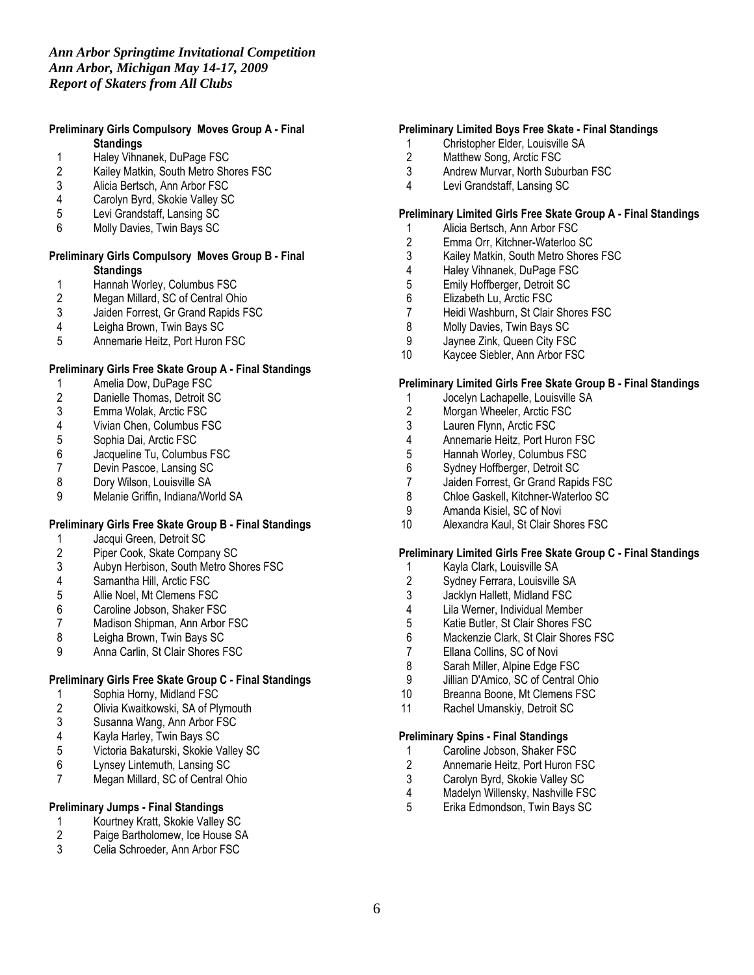# Preliminary Girls Compulsory Moves Group A - Final **Standings**

- 
- 1 Haley Vihnanek, DuPage FSC<br>2 Kailey Matkin, South Metro Sho 2 Kailey Matkin, South Metro Shores FSC<br>3 Alicia Bertsch. Ann Arbor FSC
- 3 Alicia Bertsch, Ann Arbor FSC<br>4 Carolyn Byrd, Skokie Valley SC
- 4 Carolyn Byrd, Skokie Valley SC<br>5 Levi Grandstaff. Lansing SC
- 5 Levi Grandstaff, Lansing SC
- 6 Molly Davies, Twin Bays SC

### Preliminary Girls Compulsory Moves Group B - Final **Standings**

- 1 Hannah Worley, Columbus FSC<br>2 Megan Millard, SC of Central Oh
- 2 Megan Millard, SC of Central Ohio<br>3 Jaiden Forrest, Gr Grand Rapids F.
- 3 Jaiden Forrest, Gr Grand Rapids FSC<br>4 Leigha Brown, Twin Bays SC
- 
- 4 Leigha Brown, Twin Bays SC 5 Annemarie Heitz, Port Huron FSC

### Preliminary Girls Free Skate Group A - Final Standings

- 1 Amelia Dow, DuPage FSC<br>2 Danielle Thomas, Detroit St
- 2 Danielle Thomas, Detroit SC<br>3 Emma Wolak, Arctic FSC
- 3 Emma Wolak, Arctic FSC<br>4 Vivian Chen. Columbus F9
- 4 Vivian Chen, Columbus FSC
- 5 Sophia Dai, Arctic FSC<br>6 Jacqueline Tu, Columbu
- 6 Jacqueline Tu, Columbus FSC<br>7 Devin Pascoe, Lansing SC
- 7 Devin Pascoe, Lansing SC<br>8 Dory Wilson, Louisville SA
- 8 Dory Wilson, Louisville SA<br>9 Melanie Griffin, Indiana/Wo
- 9 Melanie Griffin, Indiana/World SA

### Preliminary Girls Free Skate Group B - Final Standings

- 
- 1 Jacqui Green, Detroit SC<br>2 Piper Cook, Skate Compa
- 2 Piper Cook, Skate Company SC<br>3 Aubyn Herbison, South Metro Sh 3 Aubyn Herbison, South Metro Shores FSC<br>4 Samantha Hill. Arctic FSC
- 
- 4 Samantha Hill, Arctic FSC<br>5 Allie Noel, Mt Clemens FS
- 5 Allie Noel, Mt Clemens FSC<br>6 Caroline Jobson, Shaker FS
- 6 Caroline Jobson, Shaker FSC 7 Madison Shipman, Ann Arbor FSC<br>8 Leigha Brown. Twin Bays SC
- 
- 8 Leigha Brown, Twin Bays SC<br>9 Anna Carlin, St Clair Shores F Anna Carlin, St Clair Shores FSC

### Preliminary Girls Free Skate Group C - Final Standings

- 
- 1 Sophia Horny, Midland FSC<br>2 Olivia Kwaitkowski, SA of Ply 2 Olivia Kwaitkowski, SA of Plymouth<br>3 Susanna Wang, Ann Arbor FSC
- 3 Susanna Wang, Ann Arbor FSC<br>4 Kavla Harlev. Twin Bavs SC
- 4 Kayla Harley, Twin Bays SC
- 5 Victoria Bakaturski, Skokie Valley SC
- 6 Lynsey Lintemuth, Lansing SC
- Megan Millard, SC of Central Ohio

# Preliminary Jumps - Final Standings

- 1 Kourtney Kratt, Skokie Valley SC<br>2 Paige Bartholomew. Ice House SA
- 2 Paige Bartholomew, Ice House SA<br>3 Celia Schroeder, Ann Arbor FSC
- Celia Schroeder, Ann Arbor FSC

# Preliminary Limited Boys Free Skate - Final Standings

- 1 Christopher Elder, Louisville SA<br>2 Matthew Song, Arctic FSC
- 2 Matthew Song, Arctic FSC<br>3 Andrew Murvar, North Subi
- Andrew Murvar, North Suburban FSC
- 4 Levi Grandstaff, Lansing SC

### Preliminary Limited Girls Free Skate Group A - Final Standings

- 1 Alicia Bertsch, Ann Arbor FSC
- 2 Emma Orr, Kitchner-Waterloo SC
- 3 Kailey Matkin, South Metro Shores FSC<br>4 Haley Vihnanek, DuPage FSC
- 4 Haley Vihnanek, DuPage FSC<br>5 Emily Hoffberger, Detroit SC
- 5 Emily Hoffberger, Detroit SC<br>6 Elizabeth Lu, Arctic FSC
- 6 Elizabeth Lu, Arctic FSC
- 7 Heidi Washburn, St Clair Shores FSC<br>8 Molly Davies, Twin Bays SC
- Molly Davies, Twin Bays SC
- 9 Jaynee Zink, Queen City FSC
- 10 Kaycee Siebler, Ann Arbor FSC

### Preliminary Limited Girls Free Skate Group B - Final Standings

- 1 Jocelyn Lachapelle, Louisville SA<br>2 Morgan Wheeler, Arctic FSC
- 2 Morgan Wheeler, Arctic FSC<br>3 Lauren Flynn. Arctic FSC
- 3 Lauren Flynn, Arctic FSC<br>4 Annemarie Heitz. Port Hu
- 4 Annemarie Heitz, Port Huron FSC
- 5 Hannah Worley, Columbus FSC<br>6 Sydney Hoffberger, Detroit SC
- 6 Sydney Hoffberger, Detroit SC<br>7 Jaiden Forrest. Gr Grand Rapic
- 7 Jaiden Forrest, Gr Grand Rapids FSC<br>8 Chloe Gaskell. Kitchner-Waterloo SC
- Chloe Gaskell, Kitchner-Waterloo SC
- 9 Amanda Kisiel, SC of Novi
- 10 Alexandra Kaul, St Clair Shores FSC

### Preliminary Limited Girls Free Skate Group C - Final Standings

- 1 Kayla Clark, Louisville SA<br>2 Sydney Ferrara, Louisville
- 2 Sydney Ferrara, Louisville SA<br>3 Jacklyn Hallett, Midland FSC
- 
- 3 Jacklyn Hallett, Midland FSC<br>4 Lila Werner, Individual Membe 4 Lila Werner, Individual Member<br>5 Katie Butler, St Clair Shores FS
- 5 Katie Butler, St Clair Shores FSC<br>6 Mackenzie Clark. St Clair Shores
- 6 Mackenzie Clark, St Clair Shores FSC
- 7 Ellana Collins, SC of Novi<br>8 Sarah Miller. Alpine Edge I
- Sarah Miller, Alpine Edge FSC
- 9 Jillian D'Amico, SC of Central Ohio<br>10 Breanna Boone, Mt Clemens FSC
- Breanna Boone, Mt Clemens FSC
- 11 Rachel Umanskiy, Detroit SC

#### Preliminary Spins - Final Standings

- 1 Caroline Jobson, Shaker FSC<br>2 Annemarie Heitz. Port Huron F
- 2 Annemarie Heitz, Port Huron FSC<br>3 Carolyn Byrd. Skokie Valley SC
- 3 Carolyn Byrd, Skokie Valley SC<br>4 Madelyn Willensky, Nashville FS
- 4 Madelyn Willensky, Nashville FSC<br>5 Erika Edmondson. Twin Bavs SC
- 5 Erika Edmondson, Twin Bays SC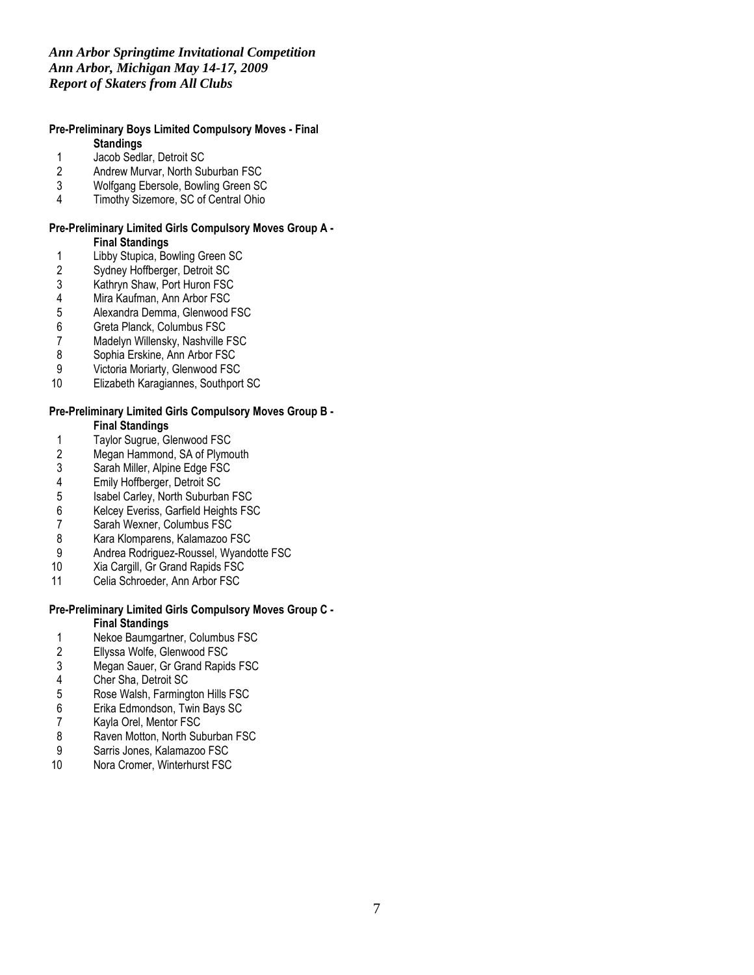# *Ann Arbor Springtime Invitational Competition Ann Arbor, Michigan May 14-17, 2009 Report of Skaters from All Clubs*

### Pre-Preliminary Boys Limited Compulsory Moves - Final **Standings**

- 
- 1 Jacob Sedlar, Detroit SC<br>2 Andrew Murvar, North Su
- 2 Andrew Murvar, North Suburban FSC<br>3 Wolfgang Ebersole, Bowling Green SC 3 Wolfgang Ebersole, Bowling Green SC<br>4 Timothy Sizemore, SC of Central Ohio
- Timothy Sizemore, SC of Central Ohio

# Pre-Preliminary Limited Girls Compulsory Moves Group A -

### Final Standings

- 1 Libby Stupica, Bowling Green SC<br>2 Sydney Hoffberger, Detroit SC
- 2 Sydney Hoffberger, Detroit SC<br>3 Kathryn Shaw, Port Huron FSC
- 3 Kathryn Shaw, Port Huron FSC<br>4 Mira Kaufman, Ann Arbor FSC
- 4 Mira Kaufman, Ann Arbor FSC<br>5 Alexandra Demma, Glenwood I
- 5 Alexandra Demma, Glenwood FSC<br>6 Greta Planck, Columbus FSC
- 6 Greta Planck, Columbus FSC<br>7 Madelyn Willensky, Nashville I
- 7 Madelyn Willensky, Nashville FSC<br>8 Sophia Erskine, Ann Arbor FSC
- 8 Sophia Erskine, Ann Arbor FSC<br>9 Victoria Moriarty, Glenwood FSC
- Victoria Moriarty, Glenwood FSC
- 10 Elizabeth Karagiannes, Southport SC

### Pre-Preliminary Limited Girls Compulsory Moves Group B - Final Standings

- 
- 1 Taylor Sugrue, Glenwood FSC<br>2 Megan Hammond, SA of Plymo
- 2 Megan Hammond, SA of Plymouth<br>3 Sarah Miller, Alpine Edge FSC
- 3 Sarah Miller, Alpine Edge FSC<br>4 Emily Hoffberger, Detroit SC
- 4 Emily Hoffberger, Detroit SC<br>5 Isabel Carley, North Suburba
- 5 Isabel Carley, North Suburban FSC<br>6 Kelcey Everiss, Garfield Heights FS
- 6 Kelcey Everiss, Garfield Heights FSC
- 7 Sarah Wexner, Columbus FSC<br>8 Kara Klomparens, Kalamazoo F
- 8 Kara Klomparens, Kalamazoo FSC<br>9 Andrea Rodriguez-Roussel, Wyand
- 9 Andrea Rodriguez-Roussel, Wyandotte FSC<br>10 Xia Cargill, Gr Grand Rapids FSC
- Xia Cargill, Gr Grand Rapids FSC
- 11 Celia Schroeder, Ann Arbor FSC

# Pre-Preliminary Limited Girls Compulsory Moves Group C -

# Final Standings

- 1 Nekoe Baumgartner, Columbus FSC<br>2 Ellyssa Wolfe, Glenwood FSC
- 2 Ellyssa Wolfe, Glenwood FSC<br>3 Megan Sauer, Gr Grand Rapid
- 3 Megan Sauer, Gr Grand Rapids FSC<br>4 Cher Sha, Detroit SC
- 4 Cher Sha, Detroit SC<br>5 Rose Walsh, Farming
- 5 Rose Walsh, Farmington Hills FSC<br>6 Erika Edmondson, Twin Bays SC<br>7 Kayla Orel, Mentor FSC
- Erika Edmondson, Twin Bays SC
- 7 Kayla Orel, Mentor FSC<br>8 Raven Motton, North Su
- 8 Raven Motton, North Suburban FSC<br>9 Sarris Jones, Kalamazoo FSC
- 9 Sarris Jones, Kalamazoo FSC<br>10 Nora Cromer, Winterhurst FSC
- Nora Cromer, Winterhurst FSC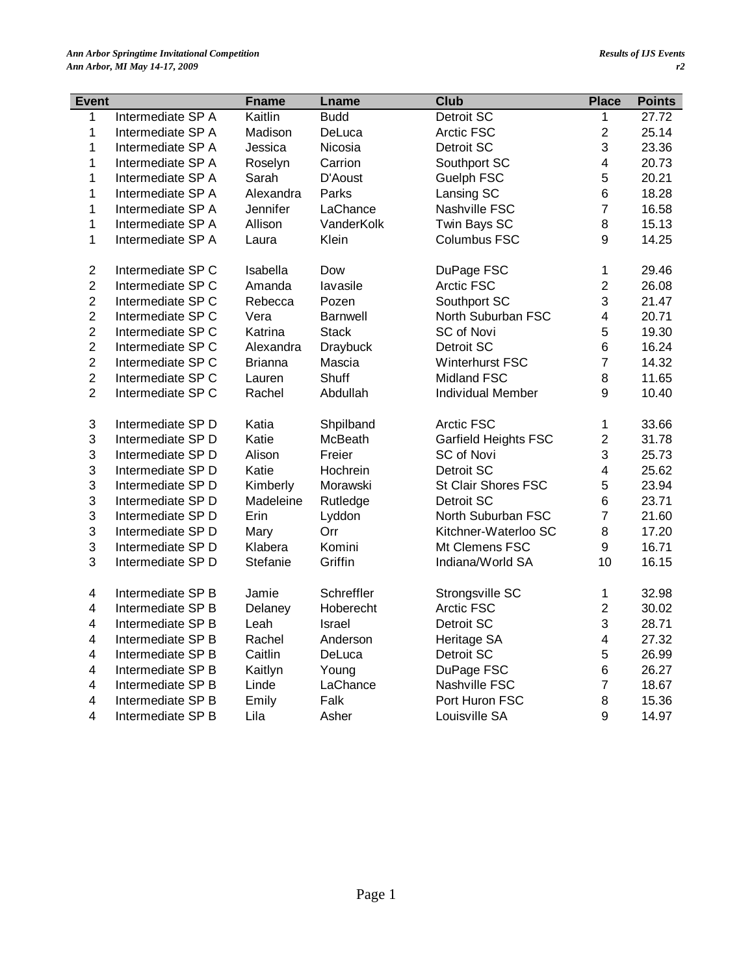| Event                   |                   | <b>Fname</b>   | Lname           | <b>Club</b>                 | <b>Place</b>            | <b>Points</b> |
|-------------------------|-------------------|----------------|-----------------|-----------------------------|-------------------------|---------------|
| $\mathbf 1$             | Intermediate SP A | Kaitlin        | <b>Budd</b>     | Detroit SC                  | 1                       | 27.72         |
| $\mathbf{1}$            | Intermediate SP A | Madison        | DeLuca          | Arctic FSC                  | $\overline{2}$          | 25.14         |
| $\mathbf{1}$            | Intermediate SP A | Jessica        | Nicosia         | Detroit SC                  | 3                       | 23.36         |
| $\mathbf{1}$            | Intermediate SP A | Roselyn        | Carrion         | Southport SC                | $\overline{\mathbf{4}}$ | 20.73         |
| $\mathbf{1}$            | Intermediate SP A | Sarah          | D'Aoust         | <b>Guelph FSC</b>           | 5                       | 20.21         |
| $\mathbf{1}$            | Intermediate SP A | Alexandra      | Parks           | Lansing SC                  | $6\phantom{a}$          | 18.28         |
| $\mathbf{1}$            | Intermediate SP A | Jennifer       | LaChance        | Nashville FSC               | $\overline{7}$          | 16.58         |
| $\mathbf{1}$            | Intermediate SP A | Allison        | VanderKolk      | Twin Bays SC                | $\,8\,$                 | 15.13         |
| $\mathbf{1}$            | Intermediate SP A | Laura          | Klein           | Columbus FSC                | 9                       | 14.25         |
| $\overline{c}$          | Intermediate SP C | Isabella       | Dow             | DuPage FSC                  | 1                       | 29.46         |
| $\overline{c}$          | Intermediate SP C | Amanda         | lavasile        | Arctic FSC                  | $\overline{2}$          | 26.08         |
| $\overline{2}$          | Intermediate SP C | Rebecca        | Pozen           | Southport SC                | 3                       | 21.47         |
| $\overline{c}$          | Intermediate SP C | Vera           | <b>Barnwell</b> | North Suburban FSC          | $\overline{\mathbf{4}}$ | 20.71         |
| $\overline{c}$          | Intermediate SP C | Katrina        | <b>Stack</b>    | SC of Novi                  | 5                       | 19.30         |
| $\overline{2}$          | Intermediate SP C | Alexandra      | <b>Draybuck</b> | Detroit SC                  | 6                       | 16.24         |
| $\overline{c}$          | Intermediate SP C | <b>Brianna</b> | Mascia          | <b>Winterhurst FSC</b>      | $\overline{7}$          | 14.32         |
| $\overline{c}$          | Intermediate SP C | Lauren         | Shuff           | Midland FSC                 | 8                       | 11.65         |
| $\overline{2}$          | Intermediate SP C | Rachel         | Abdullah        | <b>Individual Member</b>    | 9                       | 10.40         |
| 3                       | Intermediate SP D | Katia          | Shpilband       | Arctic FSC                  | $\mathbf{1}$            | 33.66         |
| 3                       | Intermediate SP D | Katie          | <b>McBeath</b>  | <b>Garfield Heights FSC</b> | $\overline{c}$          | 31.78         |
| 3                       | Intermediate SP D | Alison         | Freier          | SC of Novi                  | 3                       | 25.73         |
| 3                       | Intermediate SP D | Katie          | Hochrein        | Detroit SC                  | $\overline{\mathbf{4}}$ | 25.62         |
| 3                       | Intermediate SP D | Kimberly       | Morawski        | St Clair Shores FSC         | 5                       | 23.94         |
| 3                       | Intermediate SP D | Madeleine      | Rutledge        | Detroit SC                  | 6                       | 23.71         |
| 3                       | Intermediate SP D | Erin           | Lyddon          | North Suburban FSC          | $\overline{7}$          | 21.60         |
| 3                       | Intermediate SP D | Mary           | Orr             | Kitchner-Waterloo SC        | $\, 8$                  | 17.20         |
| 3                       | Intermediate SP D | Klabera        | Komini          | Mt Clemens FSC              | $\boldsymbol{9}$        | 16.71         |
| 3                       | Intermediate SP D | Stefanie       | Griffin         | Indiana/World SA            | 10                      | 16.15         |
| $\overline{\mathbf{4}}$ | Intermediate SP B | Jamie          | Schreffler      | Strongsville SC             | $\mathbf{1}$            | 32.98         |
| $\overline{\mathbf{4}}$ | Intermediate SP B | Delaney        | Hoberecht       | Arctic FSC                  | $\overline{2}$          | 30.02         |
| $\overline{\mathbf{4}}$ | Intermediate SP B | Leah           | Israel          | Detroit SC                  | 3                       | 28.71         |
| $\overline{\mathbf{4}}$ | Intermediate SP B | Rachel         | Anderson        | Heritage SA                 | $\overline{\mathbf{4}}$ | 27.32         |
| $\overline{\mathbf{4}}$ | Intermediate SP B | Caitlin        | DeLuca          | Detroit SC                  | $\mathbf 5$             | 26.99         |
| $\overline{\mathbf{4}}$ | Intermediate SP B | Kaitlyn        | Young           | DuPage FSC                  | 6                       | 26.27         |
| $\overline{\mathbf{4}}$ | Intermediate SP B | Linde          | LaChance        | Nashville FSC               | $\overline{7}$          | 18.67         |
| $\overline{\mathbf{4}}$ | Intermediate SP B | Emily          | Falk            | Port Huron FSC              | 8                       | 15.36         |
| 4                       | Intermediate SP B | Lila           | Asher           | Louisville SA               | 9                       | 14.97         |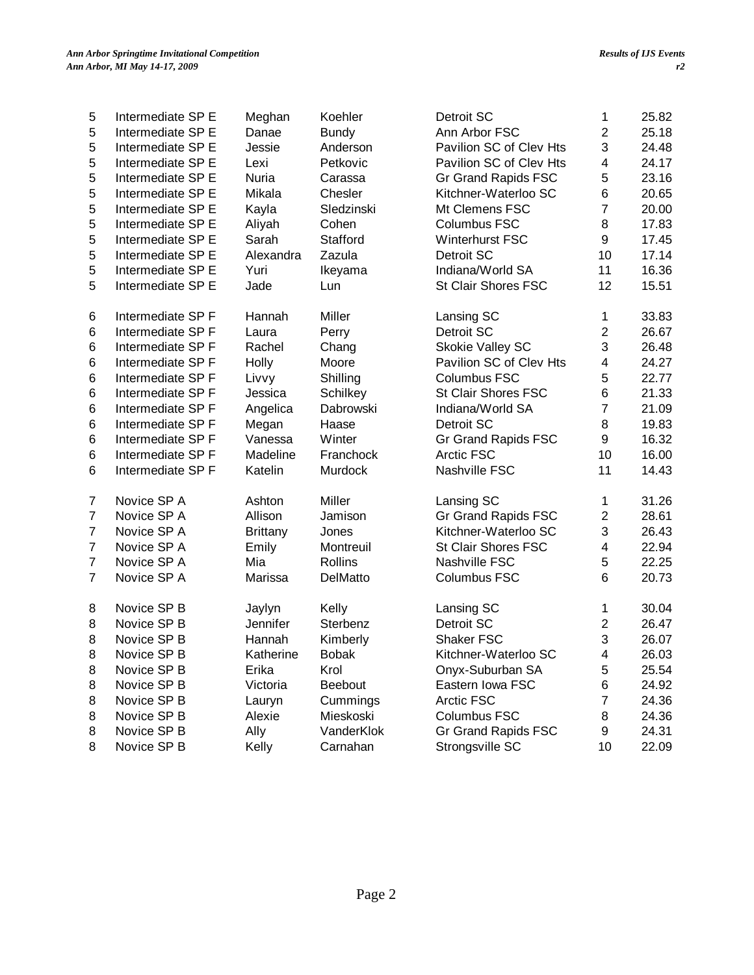| $\sqrt{2}$<br>Intermediate SP E<br>Danae<br><b>Bundy</b><br>Ann Arbor FSC<br>25.18<br>5<br>3<br>5<br>Jessie<br>Anderson<br>Pavilion SC of Clev Hts<br>24.48<br>Intermediate SP E<br>Pavilion SC of Clev Hts<br>5<br>4<br>24.17<br>Intermediate SP E<br>Lexi<br>Petkovic<br>5<br>5<br>Gr Grand Rapids FSC<br>23.16<br>Intermediate SP E<br>Nuria<br>Carassa<br>5<br>6<br>Mikala<br>Chesler<br>Kitchner-Waterloo SC<br>20.65<br>Intermediate SP E<br>$\overline{7}$<br>5<br>Sledzinski<br>Mt Clemens FSC<br>20.00<br>Intermediate SP E<br>Kayla<br>$\bf 8$<br>5<br>Aliyah<br>Cohen<br>17.83<br>Intermediate SP E<br>Columbus FSC<br>5<br>9<br>Intermediate SP E<br>Sarah<br>Stafford<br>Winterhurst FSC<br>17.45<br>5<br>10<br>Intermediate SP E<br>Alexandra<br>Zazula<br>Detroit SC<br>17.14<br>5<br>11<br>16.36<br>Intermediate SP E<br>Yuri<br>Indiana/World SA<br>Ikeyama<br>5<br>12<br>Jade<br>St Clair Shores FSC<br>15.51<br>Intermediate SP E<br>Lun<br>Intermediate SP F<br>Hannah<br>Miller<br>33.83<br>Lansing SC<br>$\mathbf 1$<br>6<br>$\sqrt{2}$<br>Detroit SC<br>26.67<br>6<br>Intermediate SP F<br>Perry<br>Laura<br>3<br>6<br>Intermediate SP F<br>Rachel<br>Chang<br>Skokie Valley SC<br>26.48<br>$\,6$<br>Pavilion SC of Clev Hts<br>$\overline{\mathbf{4}}$<br>Holly<br>Moore<br>24.27<br>Intermediate SP F<br>5<br>6<br>Shilling<br>Columbus FSC<br>22.77<br>Intermediate SP F<br>Livvy<br>6<br>6<br>Schilkey<br>St Clair Shores FSC<br>21.33<br>Intermediate SP F<br>Jessica<br>$\overline{7}$<br>Dabrowski<br>Indiana/World SA<br>21.09<br>6<br>Intermediate SP F<br>Angelica<br>$\, 8$<br>6<br>Megan<br>Haase<br>Detroit SC<br>19.83<br>Intermediate SP F<br>9<br>6<br>Vanessa<br>Winter<br>16.32<br>Intermediate SP F<br>Gr Grand Rapids FSC<br>10<br>16.00<br>6<br>Intermediate SP F<br>Madeline<br>Franchock<br>Arctic FSC<br>6<br>Katelin<br>Murdock<br>Nashville FSC<br>11<br>14.43<br>Intermediate SP F<br>Novice SP A<br>Ashton<br>Miller<br>31.26<br>7<br>Lansing SC<br>1<br>$\overline{7}$<br>Gr Grand Rapids FSC<br>$\sqrt{2}$<br>Novice SP A<br>Allison<br>Jamison<br>28.61<br>$\mathbf{3}$<br>$\overline{7}$<br>Novice SP A<br>Kitchner-Waterloo SC<br>26.43<br><b>Brittany</b><br>Jones<br>$\overline{7}$<br>Novice SP A<br>Emily<br>St Clair Shores FSC<br>$\overline{\mathbf{4}}$<br>22.94<br>Montreuil<br>$\overline{7}$<br>5<br>Novice SP A<br>Mia<br>22.25<br>Rollins<br>Nashville FSC<br>7<br>6<br>20.73<br>Novice SP A<br>Marissa<br>DelMatto<br>Columbus FSC<br>30.04<br>Novice SP B<br>Jaylyn<br>Kelly<br>Lansing SC<br>1<br>8<br>$\sqrt{2}$<br>8<br>Novice SP B<br>Jennifer<br>Sterbenz<br>Detroit SC<br>26.47<br>3<br>8<br>Novice SP B<br>Hannah<br>Kimberly<br>Shaker FSC<br>26.07<br>8<br>Novice SP B<br>4<br>26.03<br>Katherine<br><b>Bobak</b><br>Kitchner-Waterloo SC<br>Novice SP B<br>Erika<br>Krol<br>Onyx-Suburban SA<br>5<br>25.54<br>8<br>Novice SP B<br>Beebout<br>Eastern Iowa FSC<br>Victoria<br>24.92<br>8<br>6<br>Novice SP B<br>Cummings<br><b>Arctic FSC</b><br>7<br>24.36<br>8<br>Lauryn<br>8<br>Novice SP B<br>Alexie<br>Mieskoski<br><b>Columbus FSC</b><br>24.36<br>8<br>Novice SP B<br>Ally<br>Gr Grand Rapids FSC<br>24.31<br>VanderKlok<br>9<br>8<br>10<br>22.09<br>8<br>Novice SP B<br>Kelly<br>Carnahan<br>Strongsville SC |   |                   |        |         |            |   |       |
|------------------------------------------------------------------------------------------------------------------------------------------------------------------------------------------------------------------------------------------------------------------------------------------------------------------------------------------------------------------------------------------------------------------------------------------------------------------------------------------------------------------------------------------------------------------------------------------------------------------------------------------------------------------------------------------------------------------------------------------------------------------------------------------------------------------------------------------------------------------------------------------------------------------------------------------------------------------------------------------------------------------------------------------------------------------------------------------------------------------------------------------------------------------------------------------------------------------------------------------------------------------------------------------------------------------------------------------------------------------------------------------------------------------------------------------------------------------------------------------------------------------------------------------------------------------------------------------------------------------------------------------------------------------------------------------------------------------------------------------------------------------------------------------------------------------------------------------------------------------------------------------------------------------------------------------------------------------------------------------------------------------------------------------------------------------------------------------------------------------------------------------------------------------------------------------------------------------------------------------------------------------------------------------------------------------------------------------------------------------------------------------------------------------------------------------------------------------------------------------------------------------------------------------------------------------------------------------------------------------------------------------------------------------------------------------------------------------------------------------------------------------------------------------------------------------------------------------------------------------------------------------------------------------------------------------------------------------------------------------------------------------------------------------------------------------------------------------------------------------------------------------------------------------------------------------------------------------------------------------------------------------------------------------------------|---|-------------------|--------|---------|------------|---|-------|
|                                                                                                                                                                                                                                                                                                                                                                                                                                                                                                                                                                                                                                                                                                                                                                                                                                                                                                                                                                                                                                                                                                                                                                                                                                                                                                                                                                                                                                                                                                                                                                                                                                                                                                                                                                                                                                                                                                                                                                                                                                                                                                                                                                                                                                                                                                                                                                                                                                                                                                                                                                                                                                                                                                                                                                                                                                                                                                                                                                                                                                                                                                                                                                                                                                                                                                      | 5 | Intermediate SP E | Meghan | Koehler | Detroit SC | 1 | 25.82 |
|                                                                                                                                                                                                                                                                                                                                                                                                                                                                                                                                                                                                                                                                                                                                                                                                                                                                                                                                                                                                                                                                                                                                                                                                                                                                                                                                                                                                                                                                                                                                                                                                                                                                                                                                                                                                                                                                                                                                                                                                                                                                                                                                                                                                                                                                                                                                                                                                                                                                                                                                                                                                                                                                                                                                                                                                                                                                                                                                                                                                                                                                                                                                                                                                                                                                                                      |   |                   |        |         |            |   |       |
|                                                                                                                                                                                                                                                                                                                                                                                                                                                                                                                                                                                                                                                                                                                                                                                                                                                                                                                                                                                                                                                                                                                                                                                                                                                                                                                                                                                                                                                                                                                                                                                                                                                                                                                                                                                                                                                                                                                                                                                                                                                                                                                                                                                                                                                                                                                                                                                                                                                                                                                                                                                                                                                                                                                                                                                                                                                                                                                                                                                                                                                                                                                                                                                                                                                                                                      |   |                   |        |         |            |   |       |
|                                                                                                                                                                                                                                                                                                                                                                                                                                                                                                                                                                                                                                                                                                                                                                                                                                                                                                                                                                                                                                                                                                                                                                                                                                                                                                                                                                                                                                                                                                                                                                                                                                                                                                                                                                                                                                                                                                                                                                                                                                                                                                                                                                                                                                                                                                                                                                                                                                                                                                                                                                                                                                                                                                                                                                                                                                                                                                                                                                                                                                                                                                                                                                                                                                                                                                      |   |                   |        |         |            |   |       |
|                                                                                                                                                                                                                                                                                                                                                                                                                                                                                                                                                                                                                                                                                                                                                                                                                                                                                                                                                                                                                                                                                                                                                                                                                                                                                                                                                                                                                                                                                                                                                                                                                                                                                                                                                                                                                                                                                                                                                                                                                                                                                                                                                                                                                                                                                                                                                                                                                                                                                                                                                                                                                                                                                                                                                                                                                                                                                                                                                                                                                                                                                                                                                                                                                                                                                                      |   |                   |        |         |            |   |       |
|                                                                                                                                                                                                                                                                                                                                                                                                                                                                                                                                                                                                                                                                                                                                                                                                                                                                                                                                                                                                                                                                                                                                                                                                                                                                                                                                                                                                                                                                                                                                                                                                                                                                                                                                                                                                                                                                                                                                                                                                                                                                                                                                                                                                                                                                                                                                                                                                                                                                                                                                                                                                                                                                                                                                                                                                                                                                                                                                                                                                                                                                                                                                                                                                                                                                                                      |   |                   |        |         |            |   |       |
|                                                                                                                                                                                                                                                                                                                                                                                                                                                                                                                                                                                                                                                                                                                                                                                                                                                                                                                                                                                                                                                                                                                                                                                                                                                                                                                                                                                                                                                                                                                                                                                                                                                                                                                                                                                                                                                                                                                                                                                                                                                                                                                                                                                                                                                                                                                                                                                                                                                                                                                                                                                                                                                                                                                                                                                                                                                                                                                                                                                                                                                                                                                                                                                                                                                                                                      |   |                   |        |         |            |   |       |
|                                                                                                                                                                                                                                                                                                                                                                                                                                                                                                                                                                                                                                                                                                                                                                                                                                                                                                                                                                                                                                                                                                                                                                                                                                                                                                                                                                                                                                                                                                                                                                                                                                                                                                                                                                                                                                                                                                                                                                                                                                                                                                                                                                                                                                                                                                                                                                                                                                                                                                                                                                                                                                                                                                                                                                                                                                                                                                                                                                                                                                                                                                                                                                                                                                                                                                      |   |                   |        |         |            |   |       |
|                                                                                                                                                                                                                                                                                                                                                                                                                                                                                                                                                                                                                                                                                                                                                                                                                                                                                                                                                                                                                                                                                                                                                                                                                                                                                                                                                                                                                                                                                                                                                                                                                                                                                                                                                                                                                                                                                                                                                                                                                                                                                                                                                                                                                                                                                                                                                                                                                                                                                                                                                                                                                                                                                                                                                                                                                                                                                                                                                                                                                                                                                                                                                                                                                                                                                                      |   |                   |        |         |            |   |       |
|                                                                                                                                                                                                                                                                                                                                                                                                                                                                                                                                                                                                                                                                                                                                                                                                                                                                                                                                                                                                                                                                                                                                                                                                                                                                                                                                                                                                                                                                                                                                                                                                                                                                                                                                                                                                                                                                                                                                                                                                                                                                                                                                                                                                                                                                                                                                                                                                                                                                                                                                                                                                                                                                                                                                                                                                                                                                                                                                                                                                                                                                                                                                                                                                                                                                                                      |   |                   |        |         |            |   |       |
|                                                                                                                                                                                                                                                                                                                                                                                                                                                                                                                                                                                                                                                                                                                                                                                                                                                                                                                                                                                                                                                                                                                                                                                                                                                                                                                                                                                                                                                                                                                                                                                                                                                                                                                                                                                                                                                                                                                                                                                                                                                                                                                                                                                                                                                                                                                                                                                                                                                                                                                                                                                                                                                                                                                                                                                                                                                                                                                                                                                                                                                                                                                                                                                                                                                                                                      |   |                   |        |         |            |   |       |
|                                                                                                                                                                                                                                                                                                                                                                                                                                                                                                                                                                                                                                                                                                                                                                                                                                                                                                                                                                                                                                                                                                                                                                                                                                                                                                                                                                                                                                                                                                                                                                                                                                                                                                                                                                                                                                                                                                                                                                                                                                                                                                                                                                                                                                                                                                                                                                                                                                                                                                                                                                                                                                                                                                                                                                                                                                                                                                                                                                                                                                                                                                                                                                                                                                                                                                      |   |                   |        |         |            |   |       |
|                                                                                                                                                                                                                                                                                                                                                                                                                                                                                                                                                                                                                                                                                                                                                                                                                                                                                                                                                                                                                                                                                                                                                                                                                                                                                                                                                                                                                                                                                                                                                                                                                                                                                                                                                                                                                                                                                                                                                                                                                                                                                                                                                                                                                                                                                                                                                                                                                                                                                                                                                                                                                                                                                                                                                                                                                                                                                                                                                                                                                                                                                                                                                                                                                                                                                                      |   |                   |        |         |            |   |       |
|                                                                                                                                                                                                                                                                                                                                                                                                                                                                                                                                                                                                                                                                                                                                                                                                                                                                                                                                                                                                                                                                                                                                                                                                                                                                                                                                                                                                                                                                                                                                                                                                                                                                                                                                                                                                                                                                                                                                                                                                                                                                                                                                                                                                                                                                                                                                                                                                                                                                                                                                                                                                                                                                                                                                                                                                                                                                                                                                                                                                                                                                                                                                                                                                                                                                                                      |   |                   |        |         |            |   |       |
|                                                                                                                                                                                                                                                                                                                                                                                                                                                                                                                                                                                                                                                                                                                                                                                                                                                                                                                                                                                                                                                                                                                                                                                                                                                                                                                                                                                                                                                                                                                                                                                                                                                                                                                                                                                                                                                                                                                                                                                                                                                                                                                                                                                                                                                                                                                                                                                                                                                                                                                                                                                                                                                                                                                                                                                                                                                                                                                                                                                                                                                                                                                                                                                                                                                                                                      |   |                   |        |         |            |   |       |
|                                                                                                                                                                                                                                                                                                                                                                                                                                                                                                                                                                                                                                                                                                                                                                                                                                                                                                                                                                                                                                                                                                                                                                                                                                                                                                                                                                                                                                                                                                                                                                                                                                                                                                                                                                                                                                                                                                                                                                                                                                                                                                                                                                                                                                                                                                                                                                                                                                                                                                                                                                                                                                                                                                                                                                                                                                                                                                                                                                                                                                                                                                                                                                                                                                                                                                      |   |                   |        |         |            |   |       |
|                                                                                                                                                                                                                                                                                                                                                                                                                                                                                                                                                                                                                                                                                                                                                                                                                                                                                                                                                                                                                                                                                                                                                                                                                                                                                                                                                                                                                                                                                                                                                                                                                                                                                                                                                                                                                                                                                                                                                                                                                                                                                                                                                                                                                                                                                                                                                                                                                                                                                                                                                                                                                                                                                                                                                                                                                                                                                                                                                                                                                                                                                                                                                                                                                                                                                                      |   |                   |        |         |            |   |       |
|                                                                                                                                                                                                                                                                                                                                                                                                                                                                                                                                                                                                                                                                                                                                                                                                                                                                                                                                                                                                                                                                                                                                                                                                                                                                                                                                                                                                                                                                                                                                                                                                                                                                                                                                                                                                                                                                                                                                                                                                                                                                                                                                                                                                                                                                                                                                                                                                                                                                                                                                                                                                                                                                                                                                                                                                                                                                                                                                                                                                                                                                                                                                                                                                                                                                                                      |   |                   |        |         |            |   |       |
|                                                                                                                                                                                                                                                                                                                                                                                                                                                                                                                                                                                                                                                                                                                                                                                                                                                                                                                                                                                                                                                                                                                                                                                                                                                                                                                                                                                                                                                                                                                                                                                                                                                                                                                                                                                                                                                                                                                                                                                                                                                                                                                                                                                                                                                                                                                                                                                                                                                                                                                                                                                                                                                                                                                                                                                                                                                                                                                                                                                                                                                                                                                                                                                                                                                                                                      |   |                   |        |         |            |   |       |
|                                                                                                                                                                                                                                                                                                                                                                                                                                                                                                                                                                                                                                                                                                                                                                                                                                                                                                                                                                                                                                                                                                                                                                                                                                                                                                                                                                                                                                                                                                                                                                                                                                                                                                                                                                                                                                                                                                                                                                                                                                                                                                                                                                                                                                                                                                                                                                                                                                                                                                                                                                                                                                                                                                                                                                                                                                                                                                                                                                                                                                                                                                                                                                                                                                                                                                      |   |                   |        |         |            |   |       |
|                                                                                                                                                                                                                                                                                                                                                                                                                                                                                                                                                                                                                                                                                                                                                                                                                                                                                                                                                                                                                                                                                                                                                                                                                                                                                                                                                                                                                                                                                                                                                                                                                                                                                                                                                                                                                                                                                                                                                                                                                                                                                                                                                                                                                                                                                                                                                                                                                                                                                                                                                                                                                                                                                                                                                                                                                                                                                                                                                                                                                                                                                                                                                                                                                                                                                                      |   |                   |        |         |            |   |       |
|                                                                                                                                                                                                                                                                                                                                                                                                                                                                                                                                                                                                                                                                                                                                                                                                                                                                                                                                                                                                                                                                                                                                                                                                                                                                                                                                                                                                                                                                                                                                                                                                                                                                                                                                                                                                                                                                                                                                                                                                                                                                                                                                                                                                                                                                                                                                                                                                                                                                                                                                                                                                                                                                                                                                                                                                                                                                                                                                                                                                                                                                                                                                                                                                                                                                                                      |   |                   |        |         |            |   |       |
|                                                                                                                                                                                                                                                                                                                                                                                                                                                                                                                                                                                                                                                                                                                                                                                                                                                                                                                                                                                                                                                                                                                                                                                                                                                                                                                                                                                                                                                                                                                                                                                                                                                                                                                                                                                                                                                                                                                                                                                                                                                                                                                                                                                                                                                                                                                                                                                                                                                                                                                                                                                                                                                                                                                                                                                                                                                                                                                                                                                                                                                                                                                                                                                                                                                                                                      |   |                   |        |         |            |   |       |
|                                                                                                                                                                                                                                                                                                                                                                                                                                                                                                                                                                                                                                                                                                                                                                                                                                                                                                                                                                                                                                                                                                                                                                                                                                                                                                                                                                                                                                                                                                                                                                                                                                                                                                                                                                                                                                                                                                                                                                                                                                                                                                                                                                                                                                                                                                                                                                                                                                                                                                                                                                                                                                                                                                                                                                                                                                                                                                                                                                                                                                                                                                                                                                                                                                                                                                      |   |                   |        |         |            |   |       |
|                                                                                                                                                                                                                                                                                                                                                                                                                                                                                                                                                                                                                                                                                                                                                                                                                                                                                                                                                                                                                                                                                                                                                                                                                                                                                                                                                                                                                                                                                                                                                                                                                                                                                                                                                                                                                                                                                                                                                                                                                                                                                                                                                                                                                                                                                                                                                                                                                                                                                                                                                                                                                                                                                                                                                                                                                                                                                                                                                                                                                                                                                                                                                                                                                                                                                                      |   |                   |        |         |            |   |       |
|                                                                                                                                                                                                                                                                                                                                                                                                                                                                                                                                                                                                                                                                                                                                                                                                                                                                                                                                                                                                                                                                                                                                                                                                                                                                                                                                                                                                                                                                                                                                                                                                                                                                                                                                                                                                                                                                                                                                                                                                                                                                                                                                                                                                                                                                                                                                                                                                                                                                                                                                                                                                                                                                                                                                                                                                                                                                                                                                                                                                                                                                                                                                                                                                                                                                                                      |   |                   |        |         |            |   |       |
|                                                                                                                                                                                                                                                                                                                                                                                                                                                                                                                                                                                                                                                                                                                                                                                                                                                                                                                                                                                                                                                                                                                                                                                                                                                                                                                                                                                                                                                                                                                                                                                                                                                                                                                                                                                                                                                                                                                                                                                                                                                                                                                                                                                                                                                                                                                                                                                                                                                                                                                                                                                                                                                                                                                                                                                                                                                                                                                                                                                                                                                                                                                                                                                                                                                                                                      |   |                   |        |         |            |   |       |
|                                                                                                                                                                                                                                                                                                                                                                                                                                                                                                                                                                                                                                                                                                                                                                                                                                                                                                                                                                                                                                                                                                                                                                                                                                                                                                                                                                                                                                                                                                                                                                                                                                                                                                                                                                                                                                                                                                                                                                                                                                                                                                                                                                                                                                                                                                                                                                                                                                                                                                                                                                                                                                                                                                                                                                                                                                                                                                                                                                                                                                                                                                                                                                                                                                                                                                      |   |                   |        |         |            |   |       |
|                                                                                                                                                                                                                                                                                                                                                                                                                                                                                                                                                                                                                                                                                                                                                                                                                                                                                                                                                                                                                                                                                                                                                                                                                                                                                                                                                                                                                                                                                                                                                                                                                                                                                                                                                                                                                                                                                                                                                                                                                                                                                                                                                                                                                                                                                                                                                                                                                                                                                                                                                                                                                                                                                                                                                                                                                                                                                                                                                                                                                                                                                                                                                                                                                                                                                                      |   |                   |        |         |            |   |       |
|                                                                                                                                                                                                                                                                                                                                                                                                                                                                                                                                                                                                                                                                                                                                                                                                                                                                                                                                                                                                                                                                                                                                                                                                                                                                                                                                                                                                                                                                                                                                                                                                                                                                                                                                                                                                                                                                                                                                                                                                                                                                                                                                                                                                                                                                                                                                                                                                                                                                                                                                                                                                                                                                                                                                                                                                                                                                                                                                                                                                                                                                                                                                                                                                                                                                                                      |   |                   |        |         |            |   |       |
|                                                                                                                                                                                                                                                                                                                                                                                                                                                                                                                                                                                                                                                                                                                                                                                                                                                                                                                                                                                                                                                                                                                                                                                                                                                                                                                                                                                                                                                                                                                                                                                                                                                                                                                                                                                                                                                                                                                                                                                                                                                                                                                                                                                                                                                                                                                                                                                                                                                                                                                                                                                                                                                                                                                                                                                                                                                                                                                                                                                                                                                                                                                                                                                                                                                                                                      |   |                   |        |         |            |   |       |
|                                                                                                                                                                                                                                                                                                                                                                                                                                                                                                                                                                                                                                                                                                                                                                                                                                                                                                                                                                                                                                                                                                                                                                                                                                                                                                                                                                                                                                                                                                                                                                                                                                                                                                                                                                                                                                                                                                                                                                                                                                                                                                                                                                                                                                                                                                                                                                                                                                                                                                                                                                                                                                                                                                                                                                                                                                                                                                                                                                                                                                                                                                                                                                                                                                                                                                      |   |                   |        |         |            |   |       |
|                                                                                                                                                                                                                                                                                                                                                                                                                                                                                                                                                                                                                                                                                                                                                                                                                                                                                                                                                                                                                                                                                                                                                                                                                                                                                                                                                                                                                                                                                                                                                                                                                                                                                                                                                                                                                                                                                                                                                                                                                                                                                                                                                                                                                                                                                                                                                                                                                                                                                                                                                                                                                                                                                                                                                                                                                                                                                                                                                                                                                                                                                                                                                                                                                                                                                                      |   |                   |        |         |            |   |       |
|                                                                                                                                                                                                                                                                                                                                                                                                                                                                                                                                                                                                                                                                                                                                                                                                                                                                                                                                                                                                                                                                                                                                                                                                                                                                                                                                                                                                                                                                                                                                                                                                                                                                                                                                                                                                                                                                                                                                                                                                                                                                                                                                                                                                                                                                                                                                                                                                                                                                                                                                                                                                                                                                                                                                                                                                                                                                                                                                                                                                                                                                                                                                                                                                                                                                                                      |   |                   |        |         |            |   |       |
|                                                                                                                                                                                                                                                                                                                                                                                                                                                                                                                                                                                                                                                                                                                                                                                                                                                                                                                                                                                                                                                                                                                                                                                                                                                                                                                                                                                                                                                                                                                                                                                                                                                                                                                                                                                                                                                                                                                                                                                                                                                                                                                                                                                                                                                                                                                                                                                                                                                                                                                                                                                                                                                                                                                                                                                                                                                                                                                                                                                                                                                                                                                                                                                                                                                                                                      |   |                   |        |         |            |   |       |
|                                                                                                                                                                                                                                                                                                                                                                                                                                                                                                                                                                                                                                                                                                                                                                                                                                                                                                                                                                                                                                                                                                                                                                                                                                                                                                                                                                                                                                                                                                                                                                                                                                                                                                                                                                                                                                                                                                                                                                                                                                                                                                                                                                                                                                                                                                                                                                                                                                                                                                                                                                                                                                                                                                                                                                                                                                                                                                                                                                                                                                                                                                                                                                                                                                                                                                      |   |                   |        |         |            |   |       |
|                                                                                                                                                                                                                                                                                                                                                                                                                                                                                                                                                                                                                                                                                                                                                                                                                                                                                                                                                                                                                                                                                                                                                                                                                                                                                                                                                                                                                                                                                                                                                                                                                                                                                                                                                                                                                                                                                                                                                                                                                                                                                                                                                                                                                                                                                                                                                                                                                                                                                                                                                                                                                                                                                                                                                                                                                                                                                                                                                                                                                                                                                                                                                                                                                                                                                                      |   |                   |        |         |            |   |       |
|                                                                                                                                                                                                                                                                                                                                                                                                                                                                                                                                                                                                                                                                                                                                                                                                                                                                                                                                                                                                                                                                                                                                                                                                                                                                                                                                                                                                                                                                                                                                                                                                                                                                                                                                                                                                                                                                                                                                                                                                                                                                                                                                                                                                                                                                                                                                                                                                                                                                                                                                                                                                                                                                                                                                                                                                                                                                                                                                                                                                                                                                                                                                                                                                                                                                                                      |   |                   |        |         |            |   |       |
|                                                                                                                                                                                                                                                                                                                                                                                                                                                                                                                                                                                                                                                                                                                                                                                                                                                                                                                                                                                                                                                                                                                                                                                                                                                                                                                                                                                                                                                                                                                                                                                                                                                                                                                                                                                                                                                                                                                                                                                                                                                                                                                                                                                                                                                                                                                                                                                                                                                                                                                                                                                                                                                                                                                                                                                                                                                                                                                                                                                                                                                                                                                                                                                                                                                                                                      |   |                   |        |         |            |   |       |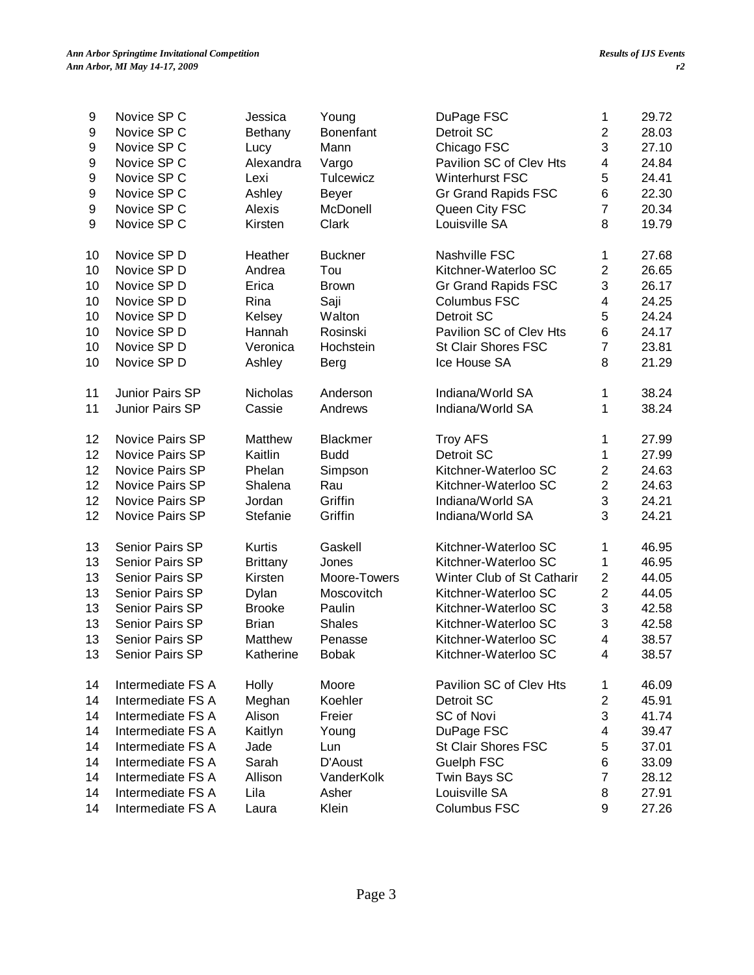| 9  | Novice SP C            | Jessica         | Young            | DuPage FSC                 | 1                         | 29.72 |
|----|------------------------|-----------------|------------------|----------------------------|---------------------------|-------|
| 9  | Novice SP C            | Bethany         | <b>Bonenfant</b> | Detroit SC                 | $\overline{2}$            | 28.03 |
| 9  | Novice SP C            | Lucy            | Mann             | Chicago FSC                | 3                         | 27.10 |
| 9  | Novice SP C            | Alexandra       | Vargo            | Pavilion SC of Clev Hts    | $\overline{\mathbf{4}}$   | 24.84 |
| 9  | Novice SP C            | Lexi            | Tulcewicz        | Winterhurst FSC            | 5                         | 24.41 |
| 9  | Novice SP C            | Ashley          | <b>Beyer</b>     | Gr Grand Rapids FSC        | 6                         | 22.30 |
| 9  | Novice SP C            | Alexis          | McDonell         | Queen City FSC             | $\overline{7}$            | 20.34 |
| 9  | Novice SP C            | Kirsten         | Clark            | Louisville SA              | 8                         | 19.79 |
| 10 | Novice SP D            | Heather         | <b>Buckner</b>   | Nashville FSC              | 1                         | 27.68 |
| 10 | Novice SP D            | Andrea          | Tou              | Kitchner-Waterloo SC       | $\boldsymbol{2}$          | 26.65 |
| 10 | Novice SP D            | Erica           | <b>Brown</b>     | Gr Grand Rapids FSC        | 3                         | 26.17 |
| 10 | Novice SP D            | Rina            | Saji             | <b>Columbus FSC</b>        | $\overline{\mathbf{4}}$   | 24.25 |
| 10 | Novice SP D            | Kelsey          | Walton           | Detroit SC                 | 5                         | 24.24 |
| 10 | Novice SP D            | Hannah          | Rosinski         | Pavilion SC of Clev Hts    | 6                         | 24.17 |
| 10 | Novice SP D            | Veronica        | Hochstein        | <b>St Clair Shores FSC</b> | $\overline{7}$            | 23.81 |
| 10 | Novice SP D            | Ashley          | Berg             | Ice House SA               | 8                         | 21.29 |
| 11 | Junior Pairs SP        | <b>Nicholas</b> | Anderson         | Indiana/World SA           | 1                         | 38.24 |
| 11 | Junior Pairs SP        | Cassie          | Andrews          | Indiana/World SA           | 1                         | 38.24 |
| 12 | <b>Novice Pairs SP</b> | Matthew         | <b>Blackmer</b>  | <b>Troy AFS</b>            | 1                         | 27.99 |
| 12 | <b>Novice Pairs SP</b> | Kaitlin         | <b>Budd</b>      | Detroit SC                 | 1                         | 27.99 |
| 12 | <b>Novice Pairs SP</b> | Phelan          | Simpson          | Kitchner-Waterloo SC       | $\sqrt{2}$                | 24.63 |
| 12 | Novice Pairs SP        | Shalena         | Rau              | Kitchner-Waterloo SC       | $\overline{2}$            | 24.63 |
| 12 | Novice Pairs SP        | Jordan          | Griffin          | Indiana/World SA           | $\ensuremath{\mathsf{3}}$ | 24.21 |
| 12 | Novice Pairs SP        | Stefanie        | Griffin          | Indiana/World SA           | 3                         | 24.21 |
| 13 | Senior Pairs SP        | <b>Kurtis</b>   | Gaskell          | Kitchner-Waterloo SC       | 1                         | 46.95 |
| 13 | <b>Senior Pairs SP</b> | <b>Brittany</b> | Jones            | Kitchner-Waterloo SC       | 1                         | 46.95 |
| 13 | <b>Senior Pairs SP</b> | Kirsten         | Moore-Towers     | Winter Club of St Catharir | $\overline{2}$            | 44.05 |
| 13 | Senior Pairs SP        | Dylan           | Moscovitch       | Kitchner-Waterloo SC       | $\sqrt{2}$                | 44.05 |
| 13 | Senior Pairs SP        | <b>Brooke</b>   | Paulin           | Kitchner-Waterloo SC       | $\ensuremath{\mathsf{3}}$ | 42.58 |
| 13 | Senior Pairs SP        | <b>Brian</b>    | <b>Shales</b>    | Kitchner-Waterloo SC       | 3                         | 42.58 |
| 13 | Senior Pairs SP        | Matthew         | Penasse          | Kitchner-Waterloo SC       | $\overline{\mathbf{4}}$   | 38.57 |
| 13 | <b>Senior Pairs SP</b> | Katherine       | <b>Bobak</b>     | Kitchner-Waterloo SC       | 4                         | 38.57 |
| 14 | Intermediate FS A      | Holly           | Moore            | Pavilion SC of Clev Hts    | 1                         | 46.09 |
| 14 | Intermediate FS A      | Meghan          | Koehler          | Detroit SC                 | $\sqrt{2}$                | 45.91 |
| 14 | Intermediate FS A      | Alison          | Freier           | SC of Novi                 | 3                         | 41.74 |
| 14 | Intermediate FS A      | Kaitlyn         | Young            | DuPage FSC                 | 4                         | 39.47 |
| 14 | Intermediate FS A      | Jade            | Lun              | St Clair Shores FSC        | 5                         | 37.01 |
| 14 | Intermediate FS A      | Sarah           | D'Aoust          | Guelph FSC                 | 6                         | 33.09 |
| 14 | Intermediate FS A      | Allison         | VanderKolk       | Twin Bays SC               | $\overline{7}$            | 28.12 |
| 14 | Intermediate FS A      | Lila            | Asher            | Louisville SA              | 8                         | 27.91 |
| 14 | Intermediate FS A      | Laura           | Klein            | Columbus FSC               | 9                         | 27.26 |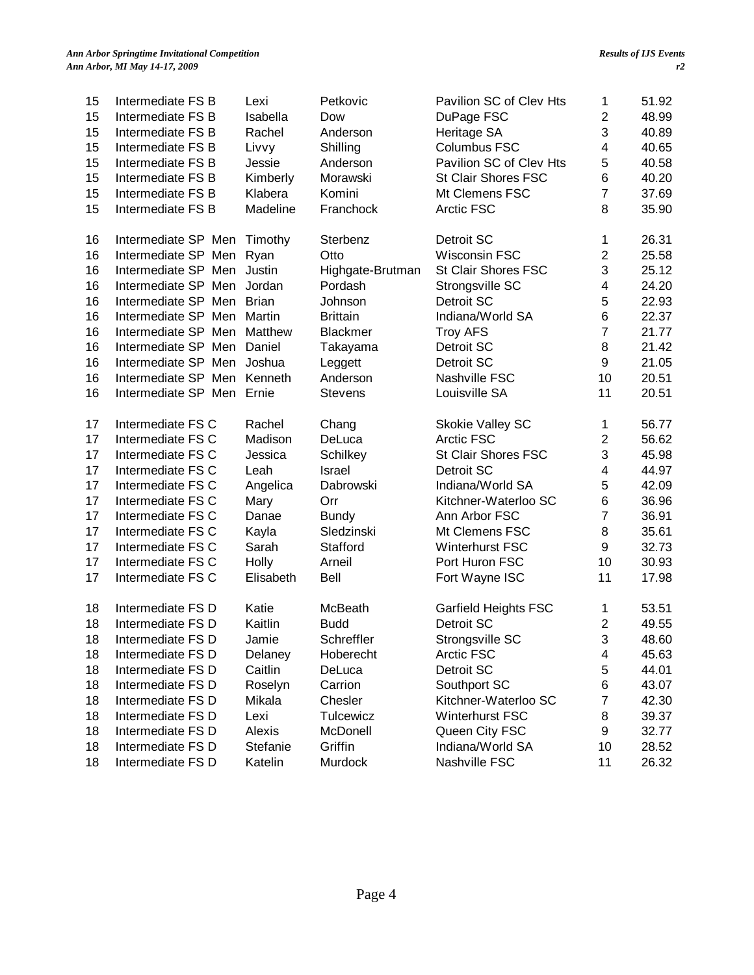| 15 | Intermediate FS B   | Lexi         | Petkovic         | Pavilion SC of Clev Hts    | $\mathbf 1$             | 51.92 |
|----|---------------------|--------------|------------------|----------------------------|-------------------------|-------|
| 15 | Intermediate FS B   | Isabella     | Dow              | DuPage FSC                 | $\overline{2}$          | 48.99 |
| 15 | Intermediate FS B   | Rachel       | Anderson         | Heritage SA                | 3                       | 40.89 |
| 15 | Intermediate FS B   | Livvy        | Shilling         | <b>Columbus FSC</b>        | 4                       | 40.65 |
| 15 | Intermediate FS B   | Jessie       | Anderson         | Pavilion SC of Clev Hts    | 5                       | 40.58 |
| 15 | Intermediate FS B   | Kimberly     | Morawski         | St Clair Shores FSC        | 6                       | 40.20 |
| 15 | Intermediate FS B   | Klabera      | Komini           | Mt Clemens FSC             | $\overline{7}$          | 37.69 |
| 15 | Intermediate FS B   | Madeline     | Franchock        | <b>Arctic FSC</b>          | 8                       | 35.90 |
| 16 | Intermediate SP Men | Timothy      | Sterbenz         | Detroit SC                 | $\mathbf 1$             | 26.31 |
| 16 | Intermediate SP Men | Ryan         | Otto             | Wisconsin FSC              | $\overline{2}$          | 25.58 |
| 16 | Intermediate SP Men | Justin       | Highgate-Brutman | <b>St Clair Shores FSC</b> | 3                       | 25.12 |
| 16 | Intermediate SP Men | Jordan       | Pordash          | Strongsville SC            | 4                       | 24.20 |
| 16 | Intermediate SP Men | <b>Brian</b> | Johnson          | Detroit SC                 | 5                       | 22.93 |
| 16 | Intermediate SP Men | Martin       | <b>Brittain</b>  | Indiana/World SA           | 6                       | 22.37 |
| 16 | Intermediate SP Men | Matthew      | <b>Blackmer</b>  | <b>Troy AFS</b>            | $\overline{7}$          | 21.77 |
| 16 | Intermediate SP Men | Daniel       | Takayama         | Detroit SC                 | 8                       | 21.42 |
| 16 | Intermediate SP Men | Joshua       | Leggett          | Detroit SC                 | $\boldsymbol{9}$        | 21.05 |
| 16 | Intermediate SP Men | Kenneth      | Anderson         | Nashville FSC              | 10                      | 20.51 |
| 16 | Intermediate SP Men | Ernie        | <b>Stevens</b>   | Louisville SA              | 11                      | 20.51 |
| 17 | Intermediate FS C   | Rachel       | Chang            | <b>Skokie Valley SC</b>    | 1                       | 56.77 |
| 17 | Intermediate FS C   | Madison      | DeLuca           | <b>Arctic FSC</b>          | $\overline{\mathbf{c}}$ | 56.62 |
| 17 | Intermediate FS C   | Jessica      | Schilkey         | <b>St Clair Shores FSC</b> | 3                       | 45.98 |
| 17 | Intermediate FS C   | Leah         | Israel           | Detroit SC                 | 4                       | 44.97 |
| 17 | Intermediate FS C   | Angelica     | Dabrowski        | Indiana/World SA           | 5                       | 42.09 |
| 17 | Intermediate FS C   | Mary         | Orr              | Kitchner-Waterloo SC       | 6                       | 36.96 |
| 17 | Intermediate FS C   | Danae        | <b>Bundy</b>     | Ann Arbor FSC              | $\overline{7}$          | 36.91 |
| 17 | Intermediate FS C   | Kayla        | Sledzinski       | Mt Clemens FSC             | 8                       | 35.61 |
| 17 | Intermediate FS C   | Sarah        | Stafford         | <b>Winterhurst FSC</b>     | 9                       | 32.73 |
| 17 | Intermediate FS C   | Holly        | Arneil           | Port Huron FSC             | 10                      | 30.93 |
| 17 | Intermediate FS C   | Elisabeth    | <b>Bell</b>      | Fort Wayne ISC             | 11                      | 17.98 |
| 18 | Intermediate FS D   | Katie        | McBeath          | Garfield Heights FSC       | 1                       | 53.51 |
| 18 | Intermediate FS D   | Kaitlin      | <b>Budd</b>      | Detroit SC                 | $\overline{2}$          | 49.55 |
| 18 | Intermediate FS D   | Jamie        | Schreffler       | Strongsville SC            | 3                       | 48.60 |
| 18 | Intermediate FS D   | Delaney      | Hoberecht        | Arctic FSC                 | 4                       | 45.63 |
| 18 | Intermediate FS D   | Caitlin      | DeLuca           | Detroit SC                 | 5                       | 44.01 |
| 18 | Intermediate FS D   | Roselyn      | Carrion          | Southport SC               | 6                       | 43.07 |
| 18 | Intermediate FS D   | Mikala       | Chesler          | Kitchner-Waterloo SC       | $\overline{7}$          | 42.30 |
| 18 | Intermediate FS D   | Lexi         | Tulcewicz        | <b>Winterhurst FSC</b>     | 8                       | 39.37 |
| 18 | Intermediate FS D   | Alexis       | McDonell         | Queen City FSC             | 9                       | 32.77 |
| 18 | Intermediate FS D   | Stefanie     | Griffin          | Indiana/World SA           | 10                      | 28.52 |
| 18 | Intermediate FS D   | Katelin      | Murdock          | Nashville FSC              | 11                      | 26.32 |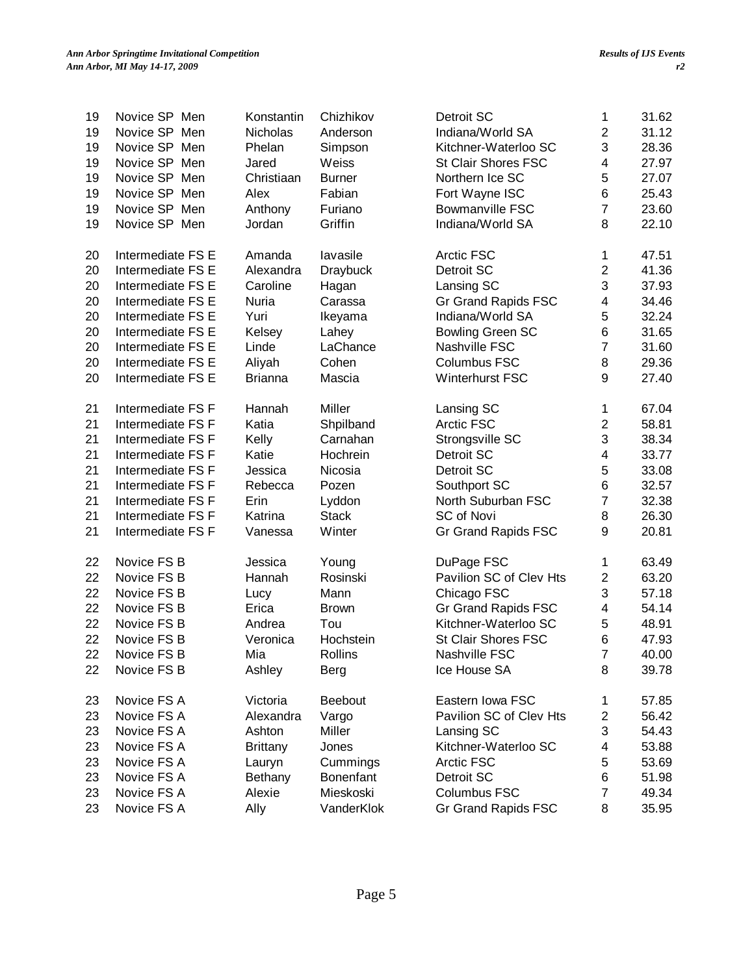| 19 | Novice SP Men     | Konstantin      | Chizhikov        | Detroit SC              | 1                       | 31.62 |
|----|-------------------|-----------------|------------------|-------------------------|-------------------------|-------|
| 19 | Novice SP Men     | Nicholas        | Anderson         | Indiana/World SA        | $\overline{2}$          | 31.12 |
| 19 | Novice SP Men     | Phelan          | Simpson          | Kitchner-Waterloo SC    | 3                       | 28.36 |
| 19 | Novice SP Men     | Jared           | Weiss            | St Clair Shores FSC     | 4                       | 27.97 |
| 19 | Novice SP Men     | Christiaan      | <b>Burner</b>    | Northern Ice SC         | 5                       | 27.07 |
| 19 | Novice SP Men     | Alex            | Fabian           | Fort Wayne ISC          | 6                       | 25.43 |
| 19 | Novice SP Men     | Anthony         | Furiano          | <b>Bowmanville FSC</b>  | $\overline{7}$          | 23.60 |
| 19 | Novice SP Men     | Jordan          | Griffin          | Indiana/World SA        | 8                       | 22.10 |
| 20 | Intermediate FS E | Amanda          | lavasile         | <b>Arctic FSC</b>       | 1                       | 47.51 |
| 20 | Intermediate FS E | Alexandra       | <b>Draybuck</b>  | Detroit SC              | $\overline{2}$          | 41.36 |
| 20 | Intermediate FS E | Caroline        | Hagan            | Lansing SC              | 3                       | 37.93 |
| 20 | Intermediate FS E | Nuria           | Carassa          | Gr Grand Rapids FSC     | 4                       | 34.46 |
| 20 | Intermediate FS E | Yuri            | Ikeyama          | Indiana/World SA        | 5                       | 32.24 |
| 20 | Intermediate FS E | Kelsey          | Lahey            | <b>Bowling Green SC</b> | 6                       | 31.65 |
| 20 | Intermediate FS E | Linde           | LaChance         | Nashville FSC           | $\overline{7}$          | 31.60 |
| 20 | Intermediate FS E | Aliyah          | Cohen            | Columbus FSC            | 8                       | 29.36 |
| 20 | Intermediate FS E | <b>Brianna</b>  | Mascia           | <b>Winterhurst FSC</b>  | 9                       | 27.40 |
| 21 | Intermediate FS F | Hannah          | Miller           | Lansing SC              | 1                       | 67.04 |
| 21 | Intermediate FS F | Katia           | Shpilband        | Arctic FSC              | $\overline{2}$          | 58.81 |
| 21 | Intermediate FS F | Kelly           | Carnahan         | Strongsville SC         | 3                       | 38.34 |
| 21 | Intermediate FS F | Katie           | Hochrein         | Detroit SC              | $\overline{\mathbf{4}}$ | 33.77 |
| 21 | Intermediate FS F | Jessica         | Nicosia          | Detroit SC              | 5                       | 33.08 |
| 21 | Intermediate FS F | Rebecca         | Pozen            | Southport SC            | 6                       | 32.57 |
| 21 | Intermediate FS F | Erin            | Lyddon           | North Suburban FSC      | $\overline{7}$          | 32.38 |
| 21 | Intermediate FS F | Katrina         | <b>Stack</b>     | SC of Novi              | 8                       | 26.30 |
| 21 | Intermediate FS F | Vanessa         | Winter           | Gr Grand Rapids FSC     | 9                       | 20.81 |
| 22 | Novice FS B       | Jessica         | Young            | DuPage FSC              | 1                       | 63.49 |
| 22 | Novice FS B       | Hannah          | Rosinski         | Pavilion SC of Clev Hts | $\overline{c}$          | 63.20 |
| 22 | Novice FS B       | Lucy            | Mann             | Chicago FSC             | 3                       | 57.18 |
| 22 | Novice FS B       | Erica           | <b>Brown</b>     | Gr Grand Rapids FSC     | $\overline{\mathbf{4}}$ | 54.14 |
| 22 | Novice FS B       | Andrea          | Tou              | Kitchner-Waterloo SC    | 5                       | 48.91 |
| 22 | Novice FS B       | Veronica        | Hochstein        | St Clair Shores FSC     | $\,6$                   | 47.93 |
| 22 | Novice FS B       | Mia             | Rollins          | Nashville FSC           | 7                       | 40.00 |
| 22 | Novice FS B       | Ashley          | <b>Berg</b>      | Ice House SA            | 8                       | 39.78 |
| 23 | Novice FS A       | Victoria        | Beebout          | Eastern Iowa FSC        | 1                       | 57.85 |
| 23 | Novice FS A       | Alexandra       | Vargo            | Pavilion SC of Clev Hts | $\overline{\mathbf{c}}$ | 56.42 |
| 23 | Novice FS A       | Ashton          | Miller           | Lansing SC              | 3                       | 54.43 |
| 23 | Novice FS A       | <b>Brittany</b> | Jones            | Kitchner-Waterloo SC    | 4                       | 53.88 |
| 23 | Novice FS A       | Lauryn          | Cummings         | Arctic FSC              | 5                       | 53.69 |
| 23 | Novice FS A       | Bethany         | <b>Bonenfant</b> | Detroit SC              | 6                       | 51.98 |
| 23 | Novice FS A       | Alexie          | Mieskoski        | Columbus FSC            | $\overline{7}$          | 49.34 |
| 23 | Novice FS A       | Ally            | VanderKlok       | Gr Grand Rapids FSC     | 8                       | 35.95 |
|    |                   |                 |                  |                         |                         |       |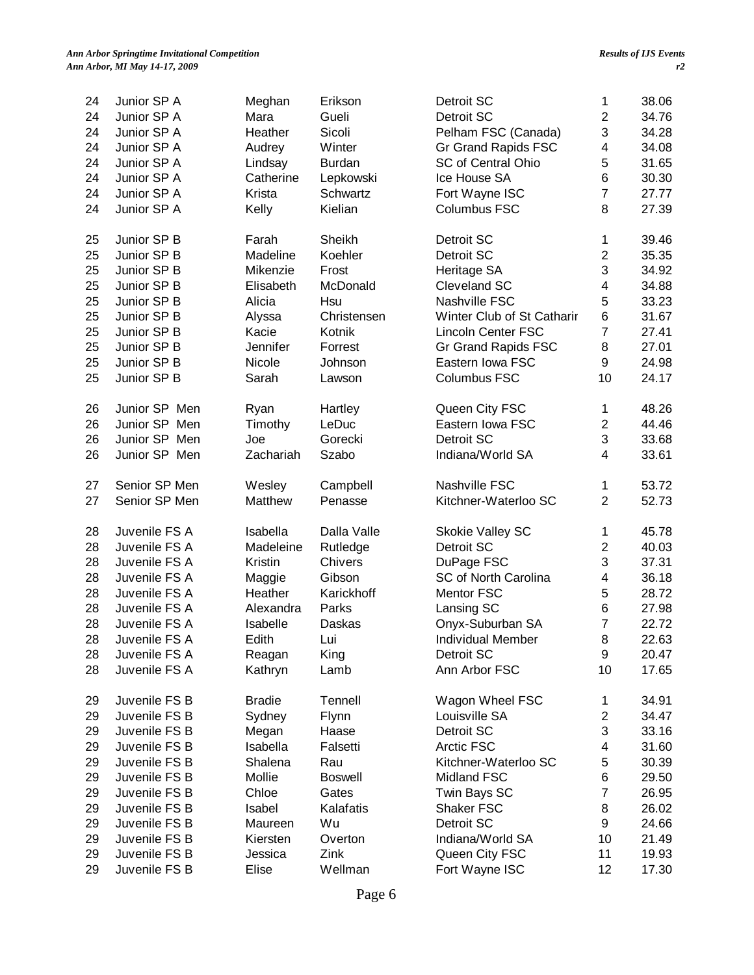| 24 | Junior SP A   | Meghan        | Erikson        | Detroit SC                 | 1                       | 38.06 |
|----|---------------|---------------|----------------|----------------------------|-------------------------|-------|
| 24 | Junior SP A   | Mara          | Gueli          | Detroit SC                 | $\overline{2}$          | 34.76 |
| 24 | Junior SP A   | Heather       | Sicoli         | Pelham FSC (Canada)        | 3                       | 34.28 |
| 24 | Junior SP A   | Audrey        | Winter         | <b>Gr Grand Rapids FSC</b> | 4                       | 34.08 |
| 24 | Junior SP A   | Lindsay       | <b>Burdan</b>  | <b>SC of Central Ohio</b>  | 5                       | 31.65 |
| 24 | Junior SP A   | Catherine     | Lepkowski      | Ice House SA               | 6                       | 30.30 |
| 24 | Junior SP A   | Krista        | Schwartz       | Fort Wayne ISC             | $\overline{7}$          | 27.77 |
| 24 | Junior SP A   | Kelly         | Kielian        | <b>Columbus FSC</b>        | 8                       | 27.39 |
| 25 | Junior SP B   | Farah         | Sheikh         | Detroit SC                 | 1                       | 39.46 |
| 25 | Junior SP B   | Madeline      | Koehler        | Detroit SC                 | $\overline{\mathbf{c}}$ | 35.35 |
| 25 | Junior SP B   | Mikenzie      | Frost          | Heritage SA                | 3                       | 34.92 |
| 25 | Junior SP B   | Elisabeth     | McDonald       | Cleveland SC               | 4                       | 34.88 |
| 25 | Junior SP B   | Alicia        | Hsu            | Nashville FSC              | 5                       | 33.23 |
| 25 | Junior SP B   | Alyssa        | Christensen    | Winter Club of St Catharir | 6                       | 31.67 |
| 25 | Junior SP B   | Kacie         | Kotnik         | <b>Lincoln Center FSC</b>  | $\overline{7}$          | 27.41 |
| 25 | Junior SP B   | Jennifer      | Forrest        | <b>Gr Grand Rapids FSC</b> | 8                       | 27.01 |
| 25 | Junior SP B   | Nicole        | Johnson        | Eastern Iowa FSC           | 9                       | 24.98 |
| 25 | Junior SP B   | Sarah         | Lawson         | <b>Columbus FSC</b>        | 10                      | 24.17 |
| 26 | Junior SP Men | Ryan          | Hartley        | Queen City FSC             | $\mathbf{1}$            | 48.26 |
| 26 | Junior SP Men | Timothy       | LeDuc          | Eastern Iowa FSC           | $\overline{c}$          | 44.46 |
| 26 | Junior SP Men | Joe           | Gorecki        | Detroit SC                 | 3                       | 33.68 |
| 26 | Junior SP Men | Zachariah     | Szabo          | Indiana/World SA           | 4                       | 33.61 |
|    |               |               |                |                            |                         |       |
| 27 | Senior SP Men | Wesley        | Campbell       | Nashville FSC              | 1                       | 53.72 |
| 27 | Senior SP Men | Matthew       | Penasse        | Kitchner-Waterloo SC       | $\overline{2}$          | 52.73 |
| 28 | Juvenile FS A | Isabella      | Dalla Valle    | Skokie Valley SC           | 1                       | 45.78 |
| 28 | Juvenile FS A | Madeleine     | Rutledge       | Detroit SC                 | $\overline{c}$          | 40.03 |
| 28 | Juvenile FS A | Kristin       | Chivers        | DuPage FSC                 | 3                       | 37.31 |
| 28 | Juvenile FS A | Maggie        | Gibson         | SC of North Carolina       | 4                       | 36.18 |
| 28 | Juvenile FS A | Heather       | Karickhoff     | <b>Mentor FSC</b>          | 5                       | 28.72 |
| 28 | Juvenile FS A | Alexandra     | Parks          | Lansing SC                 | 6                       | 27.98 |
| 28 | Juvenile FS A | Isabelle      | Daskas         | Onyx-Suburban SA           | $\overline{7}$          | 22.72 |
| 28 | Juvenile FS A | Edith         | Lui            | Individual Member          | 8                       | 22.63 |
| 28 | Juvenile FS A | Reagan        | King           | Detroit SC                 | 9                       | 20.47 |
| 28 | Juvenile FS A | Kathryn       | Lamb           | Ann Arbor FSC              | 10                      | 17.65 |
| 29 | Juvenile FS B | <b>Bradie</b> | Tennell        | Wagon Wheel FSC            | $\mathbf 1$             | 34.91 |
| 29 | Juvenile FS B | Sydney        | Flynn          | Louisville SA              | $\overline{\mathbf{c}}$ | 34.47 |
| 29 | Juvenile FS B | Megan         | Haase          | Detroit SC                 | 3                       | 33.16 |
| 29 | Juvenile FS B | Isabella      | Falsetti       | Arctic FSC                 | 4                       | 31.60 |
| 29 | Juvenile FS B | Shalena       | Rau            | Kitchner-Waterloo SC       | 5                       | 30.39 |
| 29 | Juvenile FS B | Mollie        | <b>Boswell</b> | Midland FSC                | 6                       | 29.50 |
| 29 | Juvenile FS B | Chloe         | Gates          | Twin Bays SC               | $\overline{7}$          | 26.95 |
| 29 | Juvenile FS B | Isabel        | Kalafatis      | Shaker FSC                 | 8                       | 26.02 |
| 29 | Juvenile FS B | Maureen       | Wu             | Detroit SC                 | 9                       | 24.66 |
| 29 | Juvenile FS B | Kiersten      | Overton        | Indiana/World SA           | 10                      | 21.49 |
| 29 | Juvenile FS B | Jessica       | Zink           | Queen City FSC             | 11                      | 19.93 |
| 29 | Juvenile FS B | Elise         | Wellman        | Fort Wayne ISC             | 12                      | 17.30 |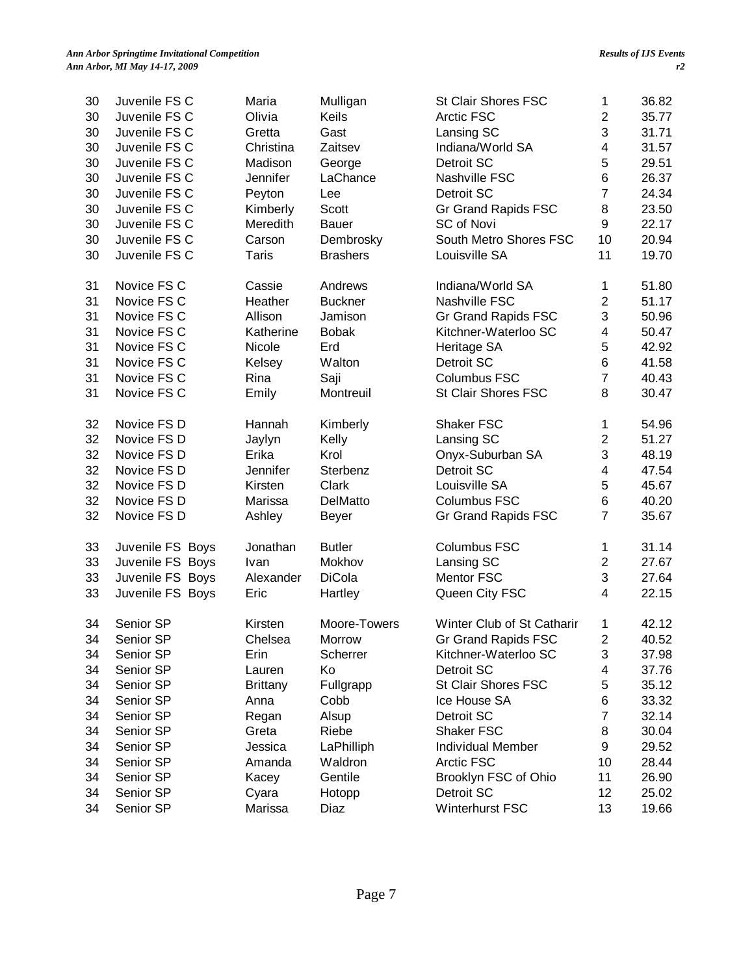| 30 | Juvenile FS C    | Maria           | Mulligan        | <b>St Clair Shores FSC</b> | 1                         | 36.82 |
|----|------------------|-----------------|-----------------|----------------------------|---------------------------|-------|
| 30 | Juvenile FS C    | Olivia          | Keils           | Arctic FSC                 | $\overline{2}$            | 35.77 |
| 30 | Juvenile FS C    | Gretta          | Gast            | Lansing SC                 | 3                         | 31.71 |
| 30 | Juvenile FS C    | Christina       | Zaitsev         | Indiana/World SA           | $\overline{\mathbf{4}}$   | 31.57 |
| 30 | Juvenile FS C    | Madison         | George          | Detroit SC                 | 5                         | 29.51 |
| 30 | Juvenile FS C    | Jennifer        | LaChance        | Nashville FSC              | $\,6$                     | 26.37 |
| 30 | Juvenile FS C    | Peyton          | Lee             | Detroit SC                 | $\overline{7}$            | 24.34 |
| 30 | Juvenile FS C    | Kimberly        | Scott           | Gr Grand Rapids FSC        | 8                         | 23.50 |
| 30 | Juvenile FS C    | Meredith        | <b>Bauer</b>    | SC of Novi                 | 9                         | 22.17 |
| 30 | Juvenile FS C    | Carson          | Dembrosky       | South Metro Shores FSC     | 10                        | 20.94 |
| 30 | Juvenile FS C    | <b>Taris</b>    | <b>Brashers</b> | Louisville SA              | 11                        | 19.70 |
| 31 | Novice FS C      | Cassie          | Andrews         | Indiana/World SA           | 1                         | 51.80 |
| 31 | Novice FS C      | Heather         | <b>Buckner</b>  | Nashville FSC              | $\overline{2}$            | 51.17 |
| 31 | Novice FS C      | Allison         | Jamison         | Gr Grand Rapids FSC        | 3                         | 50.96 |
| 31 | Novice FS C      | Katherine       | <b>Bobak</b>    | Kitchner-Waterloo SC       | $\overline{\mathbf{4}}$   | 50.47 |
| 31 | Novice FS C      | Nicole          | Erd             | Heritage SA                | 5                         | 42.92 |
| 31 | Novice FS C      | Kelsey          | Walton          | Detroit SC                 | 6                         | 41.58 |
| 31 | Novice FS C      | Rina            | Saji            | <b>Columbus FSC</b>        | $\overline{7}$            | 40.43 |
| 31 | Novice FS C      | Emily           | Montreuil       | <b>St Clair Shores FSC</b> | 8                         | 30.47 |
| 32 | Novice FS D      | Hannah          | Kimberly        | Shaker FSC                 | 1                         | 54.96 |
| 32 | Novice FS D      | Jaylyn          | Kelly           | Lansing SC                 | $\boldsymbol{2}$          | 51.27 |
| 32 | Novice FS D      | Erika           | Krol            | Onyx-Suburban SA           | $\ensuremath{\mathsf{3}}$ | 48.19 |
| 32 | Novice FS D      | Jennifer        | Sterbenz        | Detroit SC                 | $\overline{\mathbf{4}}$   | 47.54 |
| 32 | Novice FS D      | Kirsten         | Clark           | Louisville SA              | 5                         | 45.67 |
| 32 | Novice FS D      | Marissa         | DelMatto        | <b>Columbus FSC</b>        | 6                         | 40.20 |
| 32 | Novice FS D      | Ashley          | <b>Beyer</b>    | Gr Grand Rapids FSC        | $\overline{7}$            | 35.67 |
| 33 | Juvenile FS Boys | Jonathan        | <b>Butler</b>   | <b>Columbus FSC</b>        | 1                         | 31.14 |
| 33 | Juvenile FS Boys | Ivan            | Mokhov          | Lansing SC                 | $\overline{2}$            | 27.67 |
| 33 | Juvenile FS Boys | Alexander       | <b>DiCola</b>   | Mentor FSC                 | $\ensuremath{\mathsf{3}}$ | 27.64 |
| 33 | Juvenile FS Boys | Eric            | Hartley         | Queen City FSC             | $\overline{\mathbf{4}}$   | 22.15 |
| 34 | Senior SP        | Kirsten         | Moore-Towers    | Winter Club of St Catharir | 1                         | 42.12 |
| 34 | Senior SP        | Chelsea         | Morrow          | Gr Grand Rapids FSC        | 2                         | 40.52 |
| 34 | Senior SP        | Erin            | Scherrer        | Kitchner-Waterloo SC       | 3                         | 37.98 |
| 34 | Senior SP        | Lauren          | Ko              | Detroit SC                 | 4                         | 37.76 |
| 34 | Senior SP        | <b>Brittany</b> | Fullgrapp       | St Clair Shores FSC        | 5                         | 35.12 |
| 34 | Senior SP        | Anna            | Cobb            | Ice House SA               | 6                         | 33.32 |
| 34 | Senior SP        | Regan           | Alsup           | Detroit SC                 | 7                         | 32.14 |
| 34 | Senior SP        | Greta           | Riebe           | <b>Shaker FSC</b>          | 8                         | 30.04 |
| 34 | Senior SP        | Jessica         | LaPhilliph      | <b>Individual Member</b>   | 9                         | 29.52 |
| 34 | Senior SP        | Amanda          | Waldron         | Arctic FSC                 | 10                        | 28.44 |
| 34 | Senior SP        | Kacey           | Gentile         | Brooklyn FSC of Ohio       | 11                        | 26.90 |
| 34 | Senior SP        | Cyara           | Hotopp          | Detroit SC                 | 12                        | 25.02 |
| 34 | Senior SP        | Marissa         | Diaz            | Winterhurst FSC            | 13                        | 19.66 |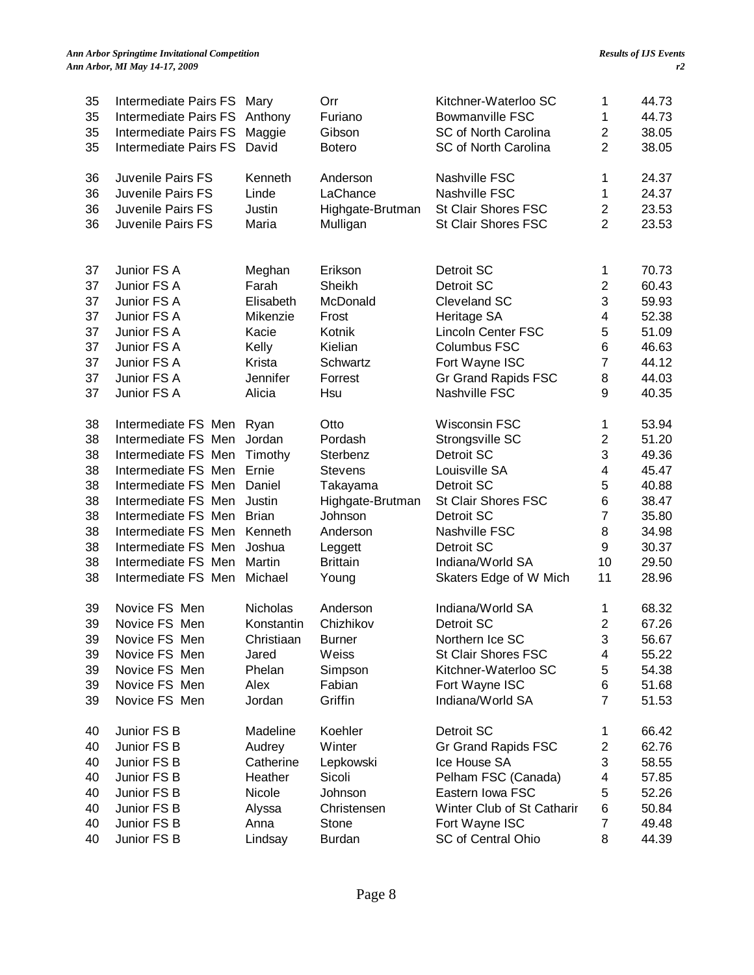### *Ann Arbor Springtime Invitational Competition Ann Arbor, MI May 14-17, 2009*

| 35<br>35<br>35<br>35 | Intermediate Pairs FS Mary<br>Intermediate Pairs FS<br>Intermediate Pairs FS<br>Intermediate Pairs FS | Anthony<br>Maggie<br>David | Orr<br>Furiano<br>Gibson<br><b>Botero</b> | Kitchner-Waterloo SC<br><b>Bowmanville FSC</b><br>SC of North Carolina<br>SC of North Carolina | 1<br>1<br>$\overline{c}$<br>$\overline{2}$ | 44.73<br>44.73<br>38.05<br>38.05 |
|----------------------|-------------------------------------------------------------------------------------------------------|----------------------------|-------------------------------------------|------------------------------------------------------------------------------------------------|--------------------------------------------|----------------------------------|
| 36                   | Juvenile Pairs FS                                                                                     | Kenneth                    | Anderson                                  | Nashville FSC                                                                                  | 1                                          | 24.37                            |
| 36                   | Juvenile Pairs FS                                                                                     | Linde                      | LaChance                                  | Nashville FSC                                                                                  | 1                                          | 24.37                            |
| 36                   | Juvenile Pairs FS                                                                                     | Justin                     | Highgate-Brutman                          | St Clair Shores FSC                                                                            | $\overline{c}$                             | 23.53                            |
| 36                   | Juvenile Pairs FS                                                                                     | Maria                      | Mulligan                                  | St Clair Shores FSC                                                                            | $\overline{2}$                             | 23.53                            |
| 37                   | Junior FS A                                                                                           | Meghan                     | Erikson                                   | Detroit SC                                                                                     | 1                                          | 70.73                            |
| 37                   | Junior FS A                                                                                           | Farah                      | Sheikh                                    | Detroit SC                                                                                     | $\overline{2}$                             | 60.43                            |
| 37                   | Junior FS A                                                                                           | Elisabeth                  | McDonald                                  | Cleveland SC                                                                                   | 3                                          | 59.93                            |
| 37                   | Junior FS A                                                                                           | Mikenzie                   | Frost                                     | Heritage SA                                                                                    | 4                                          | 52.38                            |
| 37                   | Junior FS A                                                                                           | Kacie                      | Kotnik                                    | <b>Lincoln Center FSC</b>                                                                      | 5                                          | 51.09                            |
| 37                   | Junior FS A                                                                                           | Kelly                      | Kielian                                   | Columbus FSC                                                                                   | 6                                          | 46.63                            |
| 37                   | Junior FS A                                                                                           | Krista                     | Schwartz                                  | Fort Wayne ISC                                                                                 | $\overline{7}$                             | 44.12                            |
| 37                   | Junior FS A                                                                                           | Jennifer                   | Forrest                                   | <b>Gr Grand Rapids FSC</b>                                                                     | 8                                          | 44.03                            |
| 37                   | Junior FS A                                                                                           | Alicia                     | Hsu                                       | Nashville FSC                                                                                  | 9                                          | 40.35                            |
| 38                   | Intermediate FS Men                                                                                   | Ryan                       | Otto                                      | Wisconsin FSC                                                                                  | 1                                          | 53.94                            |
| 38                   | Intermediate FS Men                                                                                   | Jordan                     | Pordash                                   | Strongsville SC                                                                                | $\overline{c}$                             | 51.20                            |
| 38                   | Intermediate FS Men                                                                                   | Timothy                    | Sterbenz                                  | Detroit SC                                                                                     | 3                                          | 49.36                            |
| 38                   | Intermediate FS Men                                                                                   | Ernie                      | <b>Stevens</b>                            | Louisville SA                                                                                  | 4                                          | 45.47                            |
| 38                   | Intermediate FS Men                                                                                   | Daniel                     | Takayama                                  | Detroit SC                                                                                     | 5                                          | 40.88                            |
| 38                   | Intermediate FS Men                                                                                   | Justin                     | Highgate-Brutman                          | St Clair Shores FSC                                                                            | 6                                          | 38.47                            |
| 38                   | Intermediate FS Men                                                                                   | <b>Brian</b>               | Johnson                                   | Detroit SC                                                                                     | $\overline{7}$                             | 35.80                            |
| 38                   | Intermediate FS Men                                                                                   | Kenneth                    | Anderson                                  | Nashville FSC                                                                                  | 8                                          | 34.98                            |
| 38                   | Intermediate FS Men                                                                                   | Joshua                     | Leggett                                   | Detroit SC                                                                                     | 9                                          | 30.37                            |
| 38                   | Intermediate FS Men                                                                                   | Martin                     | <b>Brittain</b>                           | Indiana/World SA                                                                               | 10                                         | 29.50                            |
| 38                   | Intermediate FS Men                                                                                   | Michael                    | Young                                     | Skaters Edge of W Mich                                                                         | 11                                         | 28.96                            |
| 39                   | Novice FS Men                                                                                         | Nicholas                   | Anderson                                  | Indiana/World SA                                                                               | 1                                          | 68.32                            |
| 39                   | Novice FS Men                                                                                         | Konstantin                 | Chizhikov                                 | Detroit SC                                                                                     | $\overline{2}$                             | 67.26                            |
| 39                   | Novice FS Men                                                                                         | Christiaan                 | Burner                                    | Northern Ice SC                                                                                | 3                                          | 56.67                            |
| 39                   | Novice FS Men                                                                                         | Jared                      | Weiss                                     | St Clair Shores FSC                                                                            | 4                                          | 55.22                            |
| 39                   | Novice FS Men                                                                                         | Phelan                     | Simpson                                   | Kitchner-Waterloo SC                                                                           | 5                                          | 54.38                            |
| 39                   | Novice FS Men                                                                                         | Alex                       | Fabian                                    | Fort Wayne ISC                                                                                 | 6                                          | 51.68                            |
| 39                   | Novice FS Men                                                                                         | Jordan                     | Griffin                                   | Indiana/World SA                                                                               | $\overline{7}$                             | 51.53                            |
| 40                   | Junior FS B                                                                                           | Madeline                   | Koehler                                   | Detroit SC                                                                                     | 1                                          | 66.42                            |
| 40                   | Junior FS B                                                                                           | Audrey                     | Winter                                    | Gr Grand Rapids FSC                                                                            | $\overline{c}$                             | 62.76                            |
| 40                   | Junior FS B                                                                                           | Catherine                  | Lepkowski                                 | Ice House SA                                                                                   | 3                                          | 58.55                            |
| 40                   | Junior FS B                                                                                           | Heather                    | Sicoli                                    | Pelham FSC (Canada)                                                                            | 4                                          | 57.85                            |
| 40                   | Junior FS B                                                                                           | Nicole                     | Johnson                                   | Eastern Iowa FSC                                                                               | 5                                          | 52.26                            |
| 40                   | Junior FS B                                                                                           | Alyssa                     | Christensen                               | Winter Club of St Catharir                                                                     | 6                                          | 50.84                            |
| 40                   | Junior FS B                                                                                           | Anna                       | Stone                                     | Fort Wayne ISC                                                                                 | 7                                          | 49.48                            |
| 40                   | Junior FS B                                                                                           | Lindsay                    | <b>Burdan</b>                             | SC of Central Ohio                                                                             | 8                                          | 44.39                            |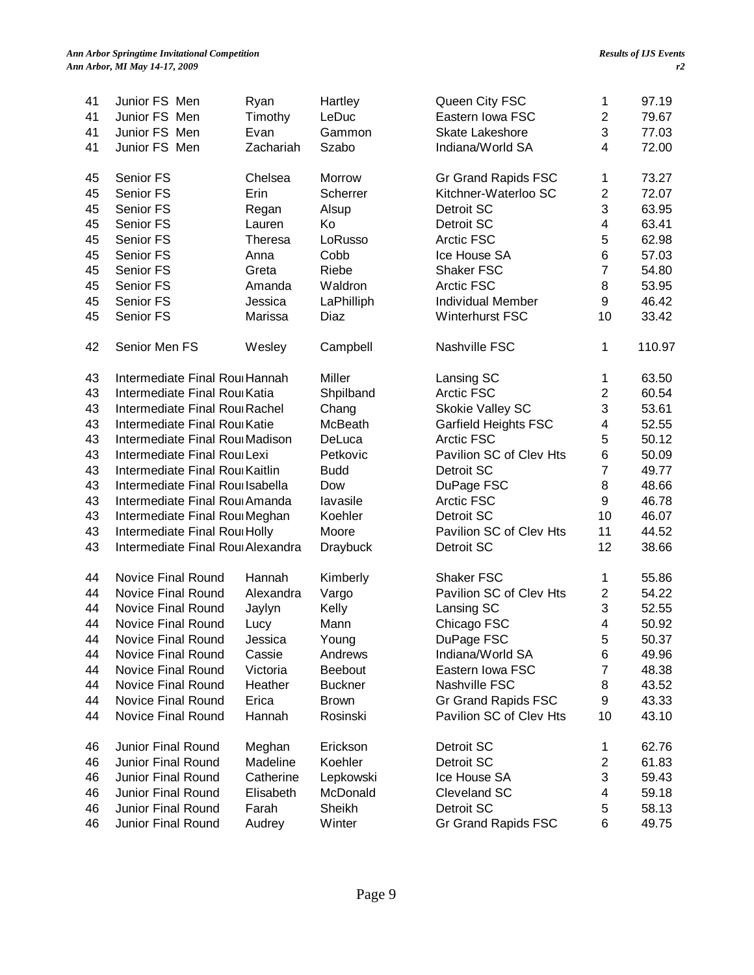| 41 | Junior FS Men                     | Ryan           | Hartley         | Queen City FSC              | 1                         | 97.19  |
|----|-----------------------------------|----------------|-----------------|-----------------------------|---------------------------|--------|
| 41 | Junior FS Men                     | Timothy        | LeDuc           | Eastern Iowa FSC            | $\overline{2}$            | 79.67  |
| 41 | Junior FS Men                     | Evan           | Gammon          | <b>Skate Lakeshore</b>      | 3                         | 77.03  |
| 41 | Junior FS Men                     | Zachariah      | Szabo           | Indiana/World SA            | 4                         | 72.00  |
|    |                                   |                |                 |                             |                           |        |
| 45 | Senior FS                         | Chelsea        | Morrow          | Gr Grand Rapids FSC         | 1                         | 73.27  |
| 45 | Senior FS                         | Erin           | Scherrer        | Kitchner-Waterloo SC        | $\overline{2}$            | 72.07  |
| 45 | Senior FS                         | Regan          | Alsup           | Detroit SC                  | 3                         | 63.95  |
| 45 | Senior FS                         | Lauren         | Ko              | Detroit SC                  | $\overline{\mathbf{4}}$   | 63.41  |
| 45 | Senior FS                         | <b>Theresa</b> | LoRusso         | Arctic FSC                  | 5                         | 62.98  |
| 45 | Senior FS                         | Anna           | Cobb            | Ice House SA                | $6\phantom{1}6$           | 57.03  |
| 45 | Senior FS                         | Greta          | Riebe           | <b>Shaker FSC</b>           | $\overline{7}$            | 54.80  |
| 45 | Senior FS                         | Amanda         | Waldron         | <b>Arctic FSC</b>           | 8                         | 53.95  |
| 45 | Senior FS                         | Jessica        | LaPhilliph      | <b>Individual Member</b>    | 9                         | 46.42  |
| 45 | Senior FS                         | Marissa        | Diaz            | Winterhurst FSC             | 10                        | 33.42  |
|    |                                   |                |                 |                             |                           |        |
| 42 | Senior Men FS                     | Wesley         | Campbell        | Nashville FSC               | 1                         | 110.97 |
| 43 | Intermediate Final Roul Hannah    |                | Miller          | Lansing SC                  | 1                         | 63.50  |
| 43 | Intermediate Final Roul Katia     |                | Shpilband       | <b>Arctic FSC</b>           | $\overline{c}$            | 60.54  |
| 43 | Intermediate Final Roul Rachel    |                | Chang           | Skokie Valley SC            | $\ensuremath{\mathsf{3}}$ | 53.61  |
| 43 | Intermediate Final Roul Katie     |                | McBeath         | <b>Garfield Heights FSC</b> | $\overline{\mathbf{4}}$   | 52.55  |
| 43 | Intermediate Final Roul Madison   |                | DeLuca          | <b>Arctic FSC</b>           | 5                         | 50.12  |
| 43 | Intermediate Final Roul Lexi      |                | Petkovic        | Pavilion SC of Clev Hts     | 6                         | 50.09  |
| 43 | Intermediate Final Roul Kaitlin   |                | <b>Budd</b>     | Detroit SC                  | $\overline{7}$            | 49.77  |
| 43 | Intermediate Final Roullsabella   |                | Dow             | DuPage FSC                  | 8                         | 48.66  |
| 43 | Intermediate Final Roul Amanda    |                | lavasile        | <b>Arctic FSC</b>           | 9                         | 46.78  |
| 43 | Intermediate Final Roul Meghan    |                | Koehler         | Detroit SC                  | 10                        | 46.07  |
| 43 | Intermediate Final Roul Holly     |                | Moore           | Pavilion SC of Clev Hts     | 11                        | 44.52  |
| 43 | Intermediate Final Roul Alexandra |                | <b>Draybuck</b> | Detroit SC                  | 12                        | 38.66  |
|    |                                   |                |                 |                             |                           |        |
| 44 | Novice Final Round                | Hannah         | Kimberly        | <b>Shaker FSC</b>           | 1                         | 55.86  |
| 44 | Novice Final Round                | Alexandra      | Vargo           | Pavilion SC of Clev Hts     | $\overline{2}$            | 54.22  |
| 44 | Novice Final Round                | Jaylyn         | Kelly           | Lansing SC                  | 3                         | 52.55  |
| 44 | Novice Final Round                | Lucy           | Mann            | Chicago FSC                 | 4                         | 50.92  |
| 44 | Novice Final Round                | Jessica        | Young           | DuPage FSC                  | 5                         | 50.37  |
| 44 | Novice Final Round                | Cassie         | Andrews         | Indiana/World SA            | 6                         | 49.96  |
| 44 | Novice Final Round                | Victoria       | Beebout         | Eastern Iowa FSC            | $\overline{7}$            | 48.38  |
| 44 | Novice Final Round                | Heather        | <b>Buckner</b>  | Nashville FSC               | 8                         | 43.52  |
| 44 | Novice Final Round                | Erica          | <b>Brown</b>    | Gr Grand Rapids FSC         | 9                         | 43.33  |
| 44 | Novice Final Round                | Hannah         | Rosinski        | Pavilion SC of Clev Hts     | 10                        | 43.10  |
|    |                                   |                |                 |                             |                           |        |
| 46 | Junior Final Round                | Meghan         | Erickson        | Detroit SC                  | 1                         | 62.76  |
| 46 | <b>Junior Final Round</b>         | Madeline       | Koehler         | Detroit SC                  | $\boldsymbol{2}$          | 61.83  |
| 46 | Junior Final Round                | Catherine      | Lepkowski       | Ice House SA                | 3                         | 59.43  |
| 46 | Junior Final Round                | Elisabeth      | McDonald        | Cleveland SC                | 4                         | 59.18  |
| 46 | Junior Final Round                | Farah          | Sheikh          | Detroit SC                  | 5                         | 58.13  |
| 46 | Junior Final Round                | Audrey         | Winter          | Gr Grand Rapids FSC         | 6                         | 49.75  |